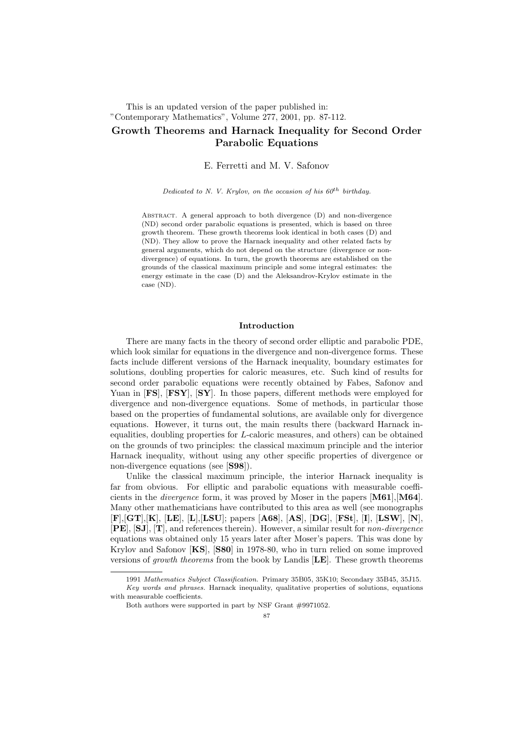# This is an updated version of the paper published in: "Contemporary Mathematics", Volume 277, 2001, pp. 87-112. Growth Theorems and Harnack Inequality for Second Order Parabolic Equations

### E. Ferretti and M. V. Safonov

Dedicated to N. V. Krylov, on the occasion of his  $60^{th}$  birthday.

ABSTRACT. A general approach to both divergence (D) and non-divergence (ND) second order parabolic equations is presented, which is based on three growth theorem. These growth theorems look identical in both cases (D) and (ND). They allow to prove the Harnack inequality and other related facts by general arguments, which do not depend on the structure (divergence or nondivergence) of equations. In turn, the growth theorems are established on the grounds of the classical maximum principle and some integral estimates: the energy estimate in the case (D) and the Aleksandrov-Krylov estimate in the case (ND).

### Introduction

There are many facts in the theory of second order elliptic and parabolic PDE, which look similar for equations in the divergence and non-divergence forms. These facts include different versions of the Harnack inequality, boundary estimates for solutions, doubling properties for caloric measures, etc. Such kind of results for second order parabolic equations were recently obtained by Fabes, Safonov and Yuan in [FS], [FSY], [SY]. In those papers, different methods were employed for divergence and non-divergence equations. Some of methods, in particular those based on the properties of fundamental solutions, are available only for divergence equations. However, it turns out, the main results there (backward Harnack inequalities, doubling properties for L-caloric measures, and others) can be obtained on the grounds of two principles: the classical maximum principle and the interior Harnack inequality, without using any other specific properties of divergence or non-divergence equations (see [S98]).

Unlike the classical maximum principle, the interior Harnack inequality is far from obvious. For elliptic and parabolic equations with measurable coefficients in the *divergence* form, it was proved by Moser in the papers  $[M61], [M64]$ . Many other mathematicians have contributed to this area as well (see monographs [F],[GT],[K], [LE], [L],[LSU]; papers [A68], [AS], [DG], [FSt], [I], [LSW], [N], [PE], [SJ], [T], and references therein). However, a similar result for non-divergence equations was obtained only 15 years later after Moser's papers. This was done by Krylov and Safonov [KS], [S80] in 1978-80, who in turn relied on some improved versions of growth theorems from the book by Landis [LE]. These growth theorems

<sup>1991</sup> Mathematics Subject Classification. Primary 35B05, 35K10; Secondary 35B45, 35J15. Key words and phrases. Harnack inequality, qualitative properties of solutions, equations with measurable coefficients.

Both authors were supported in part by NSF Grant #9971052.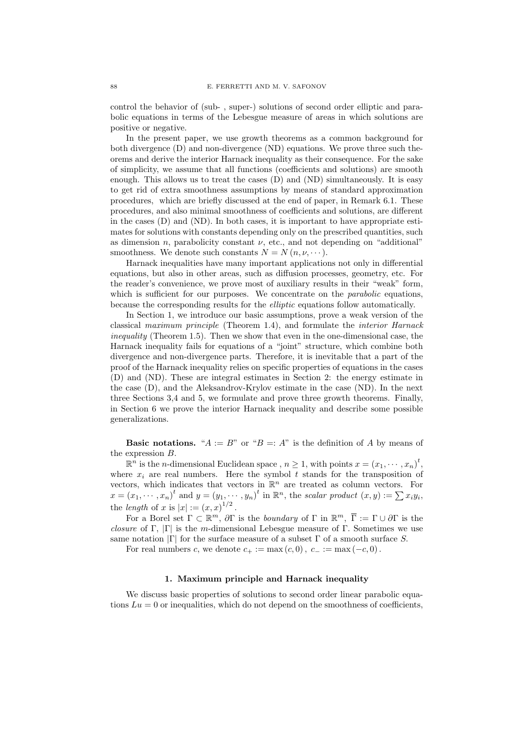control the behavior of (sub- , super-) solutions of second order elliptic and parabolic equations in terms of the Lebesgue measure of areas in which solutions are positive or negative.

In the present paper, we use growth theorems as a common background for both divergence (D) and non-divergence (ND) equations. We prove three such theorems and derive the interior Harnack inequality as their consequence. For the sake of simplicity, we assume that all functions (coefficients and solutions) are smooth enough. This allows us to treat the cases (D) and (ND) simultaneously. It is easy to get rid of extra smoothness assumptions by means of standard approximation procedures, which are briefly discussed at the end of paper, in Remark 6.1. These procedures, and also minimal smoothness of coefficients and solutions, are different in the cases (D) and (ND). In both cases, it is important to have appropriate estimates for solutions with constants depending only on the prescribed quantities, such as dimension n, parabolicity constant  $\nu$ , etc., and not depending on "additional" smoothness. We denote such constants  $N = N(n, \nu, \dots)$ .

Harnack inequalities have many important applications not only in differential equations, but also in other areas, such as diffusion processes, geometry, etc. For the reader's convenience, we prove most of auxiliary results in their "weak" form, which is sufficient for our purposes. We concentrate on the *parabolic* equations, because the corresponding results for the elliptic equations follow automatically.

In Section 1, we introduce our basic assumptions, prove a weak version of the classical maximum principle (Theorem 1.4), and formulate the interior Harnack inequality (Theorem 1.5). Then we show that even in the one-dimensional case, the Harnack inequality fails for equations of a "joint" structure, which combine both divergence and non-divergence parts. Therefore, it is inevitable that a part of the proof of the Harnack inequality relies on specific properties of equations in the cases (D) and (ND). These are integral estimates in Section 2: the energy estimate in the case (D), and the Aleksandrov-Krylov estimate in the case (ND). In the next three Sections 3,4 and 5, we formulate and prove three growth theorems. Finally, in Section 6 we prove the interior Harnack inequality and describe some possible generalizations.

**Basic notations.** " $A := B$ " or " $B = A$ " is the definition of A by means of the expression B.

 $\mathbb{R}^n$  is the *n*-dimensional Euclidean space,  $n \geq 1$ , with points  $x = (x_1, \dots, x_n)^t$ , where  $x_i$  are real numbers. Here the symbol t stands for the transposition of vectors, which indicates that vectors in  $\mathbb{R}^n$  are treated as column vectors. For  $x = (x_1, \dots, x_n)^t$  and  $y = (y_1, \dots, y_n)^t$  in  $\mathbb{R}^n$ , the scalar product  $(x, y) := \sum x_i y_i$ , the length of x is  $|x| := (x,x)^{1/2}$ .

For a Borel set  $\Gamma \subset \mathbb{R}^m$ ,  $\partial \Gamma$  is the *boundary* of  $\Gamma$  in  $\mathbb{R}^m$ ,  $\overline{\Gamma} := \Gamma \cup \partial \Gamma$  is the closure of Γ,  $|\Gamma|$  is the m-dimensional Lebesgue measure of Γ. Sometimes we use same notation  $|\Gamma|$  for the surface measure of a subset  $\Gamma$  of a smooth surface S.

For real numbers c, we denote  $c_+ := \max(c, 0), c_- := \max(-c, 0)$ .

### 1. Maximum principle and Harnack inequality

We discuss basic properties of solutions to second order linear parabolic equations  $Lu = 0$  or inequalities, which do not depend on the smoothness of coefficients,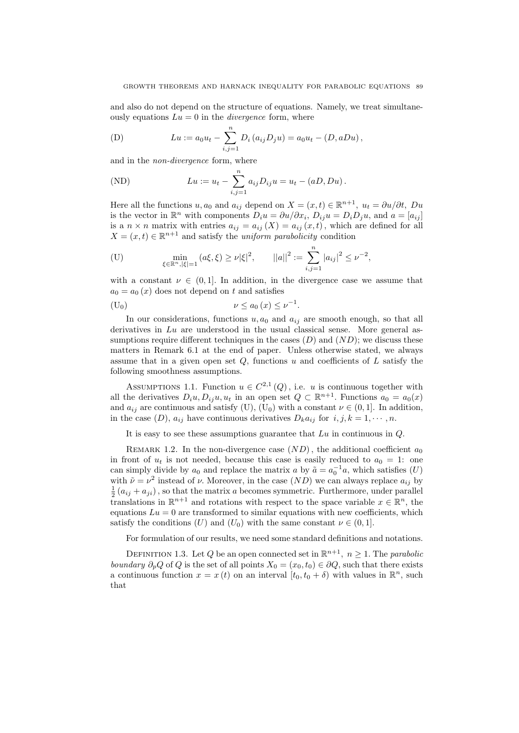and also do not depend on the structure of equations. Namely, we treat simultaneously equations  $Lu = 0$  in the *divergence* form, where

(D) 
$$
Lu := a_0 u_t - \sum_{i,j=1}^n D_i (a_{ij} D_j u) = a_0 u_t - (D, aDu),
$$

and in the *non-divergence* form, where

(ND) 
$$
Lu := u_t - \sum_{i,j=1}^n a_{ij} D_{ij} u = u_t - (aD, Du).
$$

Here all the functions  $u, a_0$  and  $a_{ij}$  depend on  $X = (x, t) \in \mathbb{R}^{n+1}$ ,  $u_t = \partial u / \partial t$ ,  $Du$ is the vector in  $\mathbb{R}^n$  with components  $D_i u = \partial u / \partial x_i$ ,  $D_{ij} u = D_i D_j u$ , and  $a = [a_{ij}]$ is a  $n \times n$  matrix with entries  $a_{ij} = a_{ij} (X) = a_{ij} (x, t)$ , which are defined for all  $X = (x, t) \in \mathbb{R}^{n+1}$  and satisfy the *uniform parabolicity* condition

$$
\text{(U)} \qquad \qquad \min_{\xi \in \mathbb{R}^n, |\xi| = 1} (a\xi, \xi) \ge \nu |\xi|^2, \qquad ||a||^2 := \sum_{i,j=1}^n |a_{ij}|^2 \le \nu^{-2},
$$

with a constant  $\nu \in (0,1]$ . In addition, in the divergence case we assume that  $a_0 = a_0(x)$  does not depend on t and satisfies

$$
(U_0) \t\t\t \nu \le a_0(x) \le \nu^{-1}.
$$

In our considerations, functions  $u, a_0$  and  $a_{ij}$  are smooth enough, so that all derivatives in  $Lu$  are understood in the usual classical sense. More general assumptions require different techniques in the cases  $(D)$  and  $(ND)$ ; we discuss these matters in Remark 6.1 at the end of paper. Unless otherwise stated, we always assume that in a given open set  $Q$ , functions u and coefficients of  $L$  satisfy the following smoothness assumptions.

ASSUMPTIONS 1.1. Function  $u \in C^{2,1}(Q)$ , i.e. u is continuous together with all the derivatives  $D_i u, D_{ij} u, u_t$  in an open set  $Q \subset \mathbb{R}^{n+1}$ . Functions  $a_0 = a_0(x)$ and  $a_{ij}$  are continuous and satisfy (U), (U<sub>0</sub>) with a constant  $\nu \in (0, 1]$ . In addition, in the case  $(D)$ ,  $a_{ij}$  have continuous derivatives  $D_k a_{ij}$  for  $i, j, k = 1, \dots, n$ .

It is easy to see these assumptions guarantee that  $Lu$  in continuous in  $Q$ .

REMARK 1.2. In the non-divergence case  $(ND)$ , the additional coefficient  $a_0$ in front of  $u_t$  is not needed, because this case is easily reduced to  $a_0 = 1$ : one can simply divide by  $a_0$  and replace the matrix  $a$  by  $\tilde{a} = a_0^{-1}a$ , which satisfies  $(U)$ with  $\tilde{\nu} = \nu^2$  instead of  $\nu$ . Moreover, in the case  $(ND)$  we can always replace  $a_{ij}$  by  $\frac{1}{2}(a_{ij} + a_{ji})$ , so that the matrix a becomes symmetric. Furthermore, under parallel translations in  $\mathbb{R}^{n+1}$  and rotations with respect to the space variable  $x \in \mathbb{R}^n$ , the equations  $Lu = 0$  are transformed to similar equations with new coefficients, which satisfy the conditions (U) and (U<sub>0</sub>) with the same constant  $\nu \in (0, 1]$ .

For formulation of our results, we need some standard definitions and notations.

DEFINITION 1.3. Let Q be an open connected set in  $\mathbb{R}^{n+1}$ ,  $n \geq 1$ . The parabolic boundary  $\partial_p Q$  of Q is the set of all points  $X_0 = (x_0, t_0) \in \partial Q$ , such that there exists a continuous function  $x = x(t)$  on an interval  $[t_0, t_0 + \delta)$  with values in  $\mathbb{R}^n$ , such that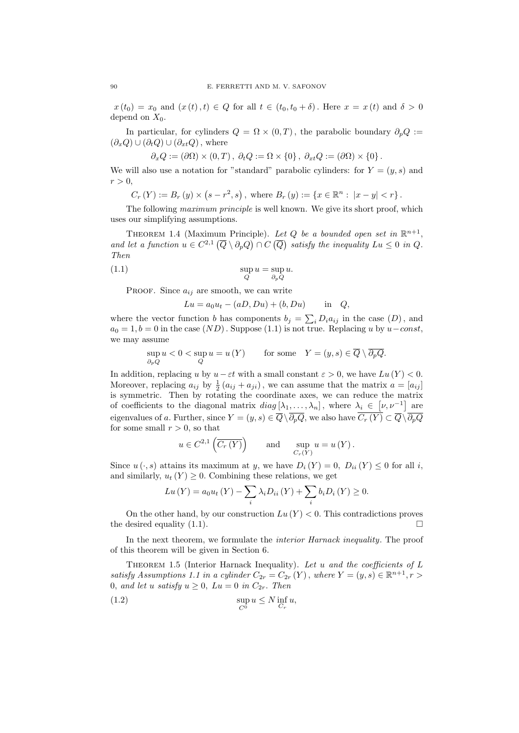$x(t_0) = x_0$  and  $(x(t), t) \in Q$  for all  $t \in (t_0, t_0 + \delta)$ . Here  $x = x(t)$  and  $\delta > 0$ depend on  $X_0$ .

In particular, for cylinders  $Q = \Omega \times (0, T)$ , the parabolic boundary  $\partial_p Q :=$  $(\partial_x Q) \cup (\partial_t Q) \cup (\partial_{xt} Q)$ , where

$$
\partial_x Q := (\partial \Omega) \times (0, T), \ \partial_t Q := \Omega \times \{0\}, \ \partial_{xt} Q := (\partial \Omega) \times \{0\}.
$$

We will also use a notation for "standard" parabolic cylinders: for  $Y = (y, s)$  and  $r > 0$ ,

 $C_r(Y) := B_r(y) \times (s - r^2, s)$ , where  $B_r(y) := \{x \in \mathbb{R}^n : |x - y| < r\}$ .

The following maximum principle is well known. We give its short proof, which uses our simplifying assumptions.

THEOREM 1.4 (Maximum Principle). Let Q be a bounded open set in  $\mathbb{R}^{n+1}$ , and let a function  $u \in C^{2,1}(\overline{Q} \setminus \partial_p Q) \cap C(\overline{Q})$  satisfy the inequality  $Lu \leq 0$  in Q. Then

(1.1) 
$$
\sup_{Q} u = \sup_{\partial_{P} Q} u.
$$

PROOF. Since  $a_{ij}$  are smooth, we can write

$$
Lu = a_0u_t - (aD, Du) + (b, Du) \quad \text{in} \quad Q,
$$

where the vector function b has components  $b_j = \sum_i D_i a_{ij}$  in the case  $(D)$ , and  $a_0 = 1, b = 0$  in the case  $(ND)$ . Suppose (1.1) is not true. Replacing u by u–const, we may assume

$$
\sup_{\partial_p Q} u < 0 < \sup_Q u = u(Y) \qquad \text{for some} \quad Y = (y, s) \in \overline{Q} \setminus \overline{\partial_p Q}.
$$

In addition, replacing u by  $u - \varepsilon t$  with a small constant  $\varepsilon > 0$ , we have  $Lu(Y) < 0$ . Moreover, replacing  $a_{ij}$  by  $\frac{1}{2}(a_{ij} + a_{ji})$ , we can assume that the matrix  $a = [a_{ij}]$ is symmetric. Then by rotating the coordinate axes, we can reduce the matrix of coefficients to the diagonal matrix  $diag[\lambda_1,\ldots,\lambda_n]$ , where  $\lambda_i \in [\nu, \nu^{-1}]$  are eigenvalues of a. Further, since  $Y = (y, s) \in \overline{Q} \setminus \overline{\partial_pQ}$ , we also have  $\overline{C_r(Y)} \subset \overline{Q} \setminus \overline{\partial_pQ}$ for some small  $r > 0$ , so that

$$
u \in C^{2,1}(\overline{C_r(Y)})
$$
 and  $\sup_{C_r(Y)} u = u(Y)$ .

Since  $u(\cdot, s)$  attains its maximum at y, we have  $D_i(Y) = 0$ ,  $D_{ii}(Y) \le 0$  for all i, and similarly,  $u_t(Y) \geq 0$ . Combining these relations, we get

$$
Lu(Y) = a_0 u_t(Y) - \sum_{i} \lambda_i D_{ii}(Y) + \sum_{i} b_i D_i(Y) \ge 0.
$$

On the other hand, by our construction  $Lu(Y) < 0$ . This contradictions proves the desired equality (1.1).

In the next theorem, we formulate the *interior Harnack inequality*. The proof of this theorem will be given in Section 6.

THEOREM 1.5 (Interior Harnack Inequality). Let  $u$  and the coefficients of  $L$ satisfy Assumptions 1.1 in a cylinder  $C_{2r} = C_{2r}(Y)$ , where  $Y = (y, s) \in \mathbb{R}^{n+1}, r >$ 0, and let u satisfy  $u \geq 0$ ,  $Lu = 0$  in  $C_{2r}$ . Then

(1.2) 
$$
\sup_{C^0} u \le N \inf_{C_r} u,
$$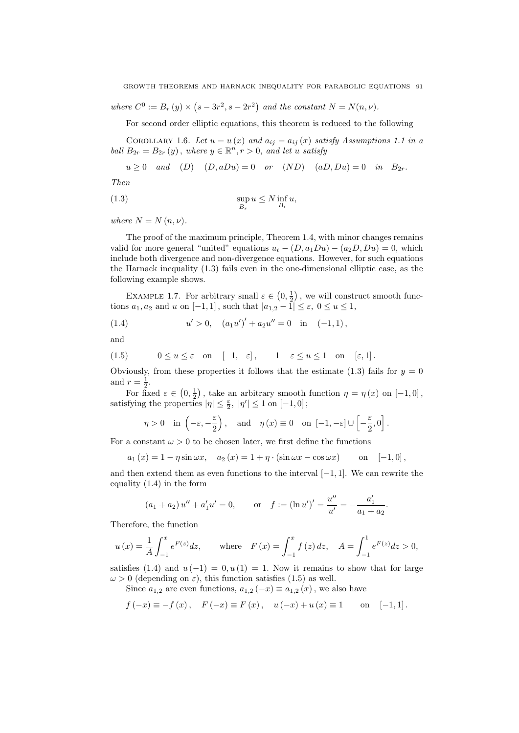where  $C^0 := B_r(y) \times (s - 3r^2, s - 2r^2)$  and the constant  $N = N(n, \nu)$ .

For second order elliptic equations, this theorem is reduced to the following

COROLLARY 1.6. Let  $u = u(x)$  and  $a_{ij} = a_{ij}(x)$  satisfy Assumptions 1.1 in a ball  $B_{2r} = B_{2r}(y)$ , where  $y \in \mathbb{R}^n, r > 0$ , and let u satisfy

 $u \geq 0$  and  $(D)$   $(D, aDu) = 0$  or  $(ND)$   $(aD, Du) = 0$  in  $B_{2r}$ .

Then

(1.3) 
$$
\sup_{B_r} u \le N \inf_{B_r} u,
$$

where  $N = N(n, \nu)$ .

The proof of the maximum principle, Theorem 1.4, with minor changes remains valid for more general "united" equations  $u_t - (D, a_1Du) - (a_2D, Du) = 0$ , which include both divergence and non-divergence equations. However, for such equations the Harnack inequality (1.3) fails even in the one-dimensional elliptic case, as the following example shows.

EXAMPLE 1.7. For arbitrary small  $\varepsilon \in (0, \frac{1}{2})$ , we will construct smooth functions  $a_1, a_2$  and u on  $[-1, 1]$ , such that  $|a_{1,2} - \tilde{1}| \leq \varepsilon$ ,  $0 \leq u \leq 1$ ,

(1.4) 
$$
u' > 0, \quad (a_1 u')' + a_2 u'' = 0 \quad \text{in} \quad (-1, 1),
$$

and

(1.5) 
$$
0 \le u \le \varepsilon
$$
 on  $[-1, -\varepsilon]$ ,  $1 - \varepsilon \le u \le 1$  on  $[\varepsilon, 1]$ .

Obviously, from these properties it follows that the estimate (1.3) fails for  $y = 0$ and  $r=\frac{1}{2}$ .

For fixed  $\varepsilon \in (0, \frac{1}{2})$ , take an arbitrary smooth function  $\eta = \eta(x)$  on  $[-1, 0]$ , satisfying the properties  $|\eta| \leq \frac{\varepsilon}{2}$ ,  $|\eta'| \leq 1$  on  $[-1,0]$ ;

$$
\eta > 0
$$
 in  $\left(-\varepsilon, -\frac{\varepsilon}{2}\right)$ , and  $\eta(x) \equiv 0$  on  $[-1, -\varepsilon] \cup \left[-\frac{\varepsilon}{2}, 0\right]$ .

For a constant  $\omega > 0$  to be chosen later, we first define the functions

$$
a_1(x) = 1 - \eta \sin \omega x
$$
,  $a_2(x) = 1 + \eta \cdot (\sin \omega x - \cos \omega x)$  on  $[-1,0]$ ,

and then extend them as even functions to the interval  $[-1, 1]$ . We can rewrite the equality (1.4) in the form

$$
(a_1 + a_2) u'' + a'_1 u' = 0
$$
, or  $f := (\ln u')' = \frac{u''}{u'} = -\frac{a'_1}{a_1 + a_2}$ .

Therefore, the function

$$
u(x) = \frac{1}{A} \int_{-1}^{x} e^{F(z)} dz, \quad \text{where} \quad F(x) = \int_{-1}^{x} f(z) dz, \quad A = \int_{-1}^{1} e^{F(z)} dz > 0,
$$

satisfies (1.4) and  $u(-1) = 0, u(1) = 1$ . Now it remains to show that for large  $\omega > 0$  (depending on  $\varepsilon$ ), this function satisfies (1.5) as well.

Since  $a_{1,2}$  are even functions,  $a_{1,2}(-x) \equiv a_{1,2}(x)$ , we also have

$$
f(-x) \equiv -f(x)
$$
,  $F(-x) \equiv F(x)$ ,  $u(-x) + u(x) \equiv 1$  on [-1,1].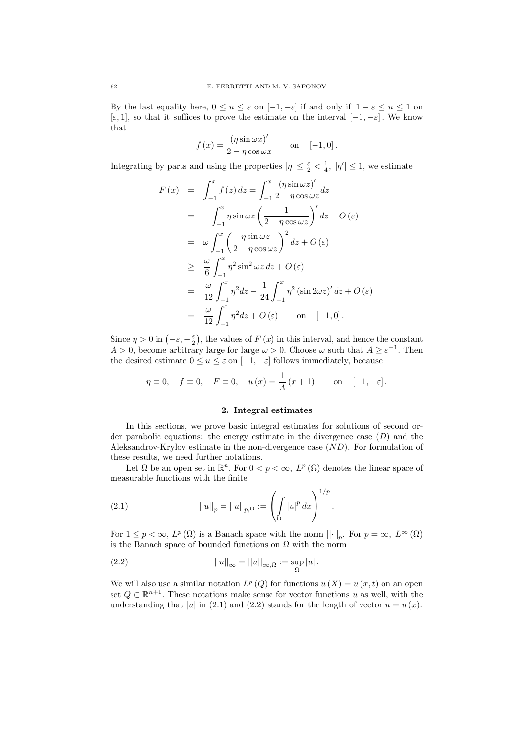By the last equality here,  $0 \le u \le \varepsilon$  on  $[-1, -\varepsilon]$  if and only if  $1 - \varepsilon \le u \le 1$  on  $[\varepsilon, 1]$ , so that it suffices to prove the estimate on the interval  $[-1, -\varepsilon]$ . We know that

$$
f(x) = \frac{(\eta \sin \omega x)'}{2 - \eta \cos \omega x} \quad \text{on} \quad [-1, 0].
$$

Integrating by parts and using the properties  $|\eta| \leq \frac{\varepsilon}{2} < \frac{1}{4}$ ,  $|\eta'| \leq 1$ , we estimate

$$
F(x) = \int_{-1}^{x} f(z) dz = \int_{-1}^{x} \frac{(\eta \sin \omega z)^{\prime}}{2 - \eta \cos \omega z} dz
$$
  
\n
$$
= -\int_{-1}^{x} \eta \sin \omega z \left(\frac{1}{2 - \eta \cos \omega z}\right)^{\prime} dz + O(\varepsilon)
$$
  
\n
$$
= \omega \int_{-1}^{x} \left(\frac{\eta \sin \omega z}{2 - \eta \cos \omega z}\right)^{2} dz + O(\varepsilon)
$$
  
\n
$$
\geq \frac{\omega}{6} \int_{-1}^{x} \eta^{2} \sin^{2} \omega z dz + O(\varepsilon)
$$
  
\n
$$
= \frac{\omega}{12} \int_{-1}^{x} \eta^{2} dz - \frac{1}{24} \int_{-1}^{x} \eta^{2} (\sin 2\omega z)^{\prime} dz + O(\varepsilon)
$$
  
\n
$$
= \frac{\omega}{12} \int_{-1}^{x} \eta^{2} dz + O(\varepsilon) \quad \text{on} \quad [-1, 0].
$$

Since  $\eta > 0$  in  $(-\varepsilon, -\frac{\varepsilon}{2})$ , the values of  $F(x)$  in this interval, and hence the constant  $A > 0$ , become arbitrary large for large  $\omega > 0$ . Choose  $\omega$  such that  $A \geq \varepsilon^{-1}$ . Then the desired estimate  $0 \le u \le \varepsilon$  on  $[-1, -\varepsilon]$  follows immediately, because

$$
\eta \equiv 0
$$
,  $f \equiv 0$ ,  $F \equiv 0$ ,  $u(x) = \frac{1}{A}(x+1)$  on  $[-1, -\varepsilon]$ .

### 2. Integral estimates

In this sections, we prove basic integral estimates for solutions of second order parabolic equations: the energy estimate in the divergence case  $(D)$  and the Aleksandrov-Krylov estimate in the non-divergence case  $(ND)$ . For formulation of these results, we need further notations.

Let  $\Omega$  be an open set in  $\mathbb{R}^n$ . For  $0 < p < \infty$ ,  $L^p(\Omega)$  denotes the linear space of measurable functions with the finite

(2.1) 
$$
||u||_p = ||u||_{p,\Omega} := \left(\int_{\Omega} |u|^p dx\right)^{1/p}.
$$

For  $1 \leq p < \infty$ ,  $L^p(\Omega)$  is a Banach space with the norm  $\lVert \cdot \rVert_p$ . For  $p = \infty$ ,  $L^{\infty}(\Omega)$ is the Banach space of bounded functions on  $\Omega$  with the norm

(2.2) 
$$
||u||_{\infty} = ||u||_{\infty,\Omega} := \sup_{\Omega} |u|.
$$

We will also use a similar notation  $L^p(Q)$  for functions  $u(X) = u(x, t)$  on an open set  $Q \subset \mathbb{R}^{n+1}$ . These notations make sense for vector functions u as well, with the understanding that |u| in (2.1) and (2.2) stands for the length of vector  $u = u(x)$ .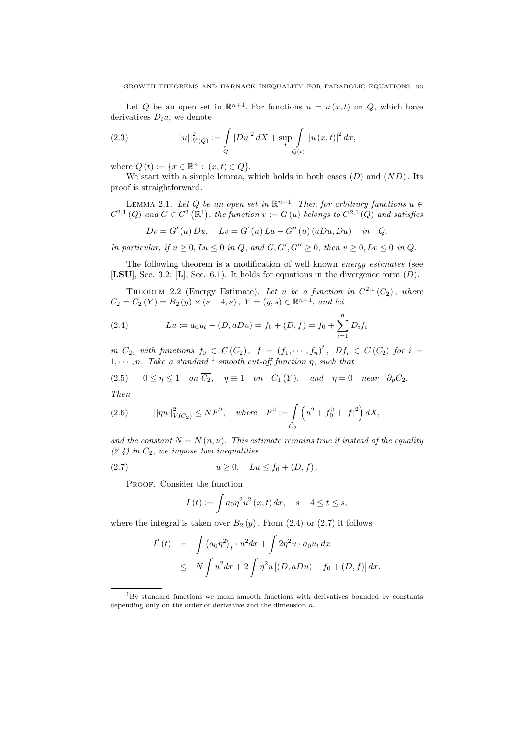Let Q be an open set in  $\mathbb{R}^{n+1}$ . For functions  $u = u(x, t)$  on Q, which have derivatives  $D_i u$ , we denote

(2.3) 
$$
||u||_{V(Q)}^2 := \int_{Q} |Du|^2 dX + \sup_{t} \int_{Q(t)} |u(x, t)|^2 dx,
$$

where  $Q(t) := \{x \in \mathbb{R}^n : (x, t) \in Q\}.$ 

We start with a simple lemma, which holds in both cases  $(D)$  and  $(ND)$ . Its proof is straightforward.

LEMMA 2.1. Let Q be an open set in  $\mathbb{R}^{n+1}$ . Then for arbitrary functions  $u \in$  $C^{2,1}(Q)$  and  $G \in C^2(\mathbb{R}^1)$ , the function  $v := G(u)$  belongs to  $C^{2,1}(Q)$  and satisfies

$$
Dv = G'(u) Du
$$
,  $Lv = G'(u) Lu - G''(u) (aDu, Du)$  in Q.

In particular, if  $u \geq 0$ ,  $Lu \leq 0$  in Q, and  $G, G', G'' \geq 0$ , then  $v \geq 0$ ,  $Lv \leq 0$  in Q.

The following theorem is a modification of well known energy estimates (see [LSU], Sec. 3.2; [L], Sec. 6.1]. It holds for equations in the divergence form  $(D)$ .

THEOREM 2.2 (Energy Estimate). Let u be a function in  $C^{2,1}(C_2)$ , where  $C_2 = C_2(Y) = B_2(y) \times (s-4, s), Y = (y, s) \in \mathbb{R}^{n+1},$  and let

(2.4) 
$$
Lu := a_0u_t - (D, aDu) = f_0 + (D, f) = f_0 + \sum_{i=1}^n D_i f_i
$$

in  $C_2$ , with functions  $f_0 \in C(C_2)$ ,  $f = (f_1, \dots, f_n)^t$ ,  $Df_i \in C(C_2)$  for  $i =$  $1, \dots, n$ . Take a standard <sup>1</sup> smooth cut-off function  $\eta$ , such that

(2.5) 
$$
0 \le \eta \le 1
$$
 on  $\overline{C_2}$ ,  $\eta \equiv 1$  on  $\overline{C_1(Y)}$ , and  $\eta = 0$  near  $\partial_p C_2$ .  
Then

Then

(2.6) 
$$
||\eta u||_{V(C_2)}^2 \leq NF^2, \text{ where } F^2 := \int_{C_2} \left( u^2 + f_0^2 + |f|^2 \right) dX,
$$

and the constant  $N = N(n, \nu)$ . This estimate remains true if instead of the equality  $(2.4)$  in  $C_2$ , we impose two inequalities

(2.7) 
$$
u \ge 0
$$
,  $Lu \le f_0 + (D, f)$ .

PROOF. Consider the function

$$
I(t) := \int a_0 \eta^2 u^2(x, t) \, dx, \quad s - 4 \le t \le s,
$$

where the integral is taken over  $B_2(y)$ . From  $(2.4)$  or  $(2.7)$  it follows

$$
I'(t) = \int (a_0 \eta^2)_t \cdot u^2 dx + \int 2\eta^2 u \cdot a_0 u_t dx
$$
  
 
$$
\leq N \int u^2 dx + 2 \int \eta^2 u [(D, aDu) + f_0 + (D, f)] dx.
$$

<sup>1</sup>By standard functions we mean smooth functions with derivatives bounded by constants depending only on the order of derivative and the dimension  $n$ .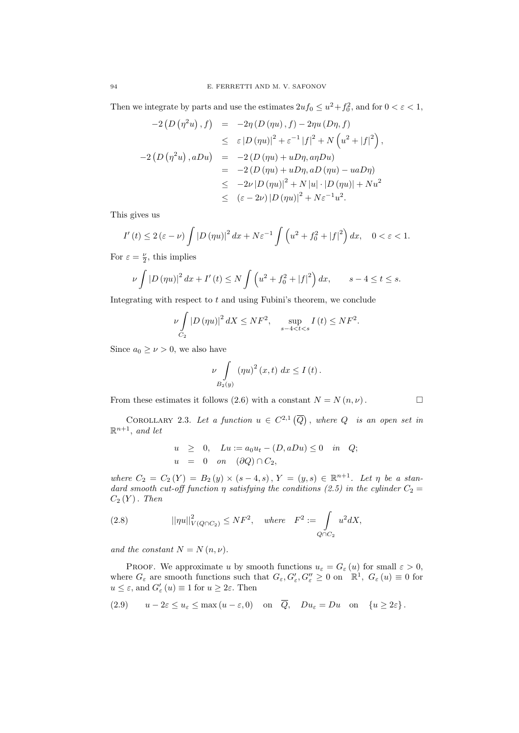Then we integrate by parts and use the estimates  $2uf_0 \le u^2 + f_0^2$ , and for  $0 < \varepsilon < 1$ ,

$$
-2\left(D\left(\eta^{2}u\right), f\right) = -2\eta\left(D\left(\eta u\right), f\right) - 2\eta u\left(D\eta, f\right)
$$
  
\n
$$
\leq \varepsilon |D\left(\eta u\right)|^{2} + \varepsilon^{-1} |f|^{2} + N\left(u^{2} + |f|^{2}\right),
$$
  
\n
$$
-2\left(D\left(\eta^{2}u\right), aDu\right) = -2\left(D\left(\eta u\right) + uD\eta, a\eta Du\right)
$$
  
\n
$$
= -2\left(D\left(\eta u\right) + uD\eta, aD\left(\eta u\right) - u aD\eta\right)
$$
  
\n
$$
\leq -2\nu |D\left(\eta u\right)|^{2} + N |u| \cdot |D\left(\eta u\right)| + N u^{2}
$$
  
\n
$$
\leq (\varepsilon - 2\nu) |D\left(\eta u\right)|^{2} + N \varepsilon^{-1} u^{2}.
$$

This gives us

$$
I'(t) \le 2\left(\varepsilon - \nu\right) \int \left|D\left(\eta u\right)\right|^2 dx + N\varepsilon^{-1} \int \left(u^2 + f_0^2 + \left|f\right|^2\right) dx, \quad 0 < \varepsilon < 1.
$$

For  $\varepsilon = \frac{\nu}{2}$ , this implies

$$
\nu \int |D(\eta u)|^2 dx + I'(t) \le N \int \left( u^2 + f_0^2 + |f|^2 \right) dx, \qquad s - 4 \le t \le s.
$$

Integrating with respect to  $t$  and using Fubini's theorem, we conclude

$$
\nu \int\limits_{C_2} |D \left( \eta u \right)|^2 \, dX \leq N F^2, \quad \sup_{s-4 < t < s} I \left( t \right) \leq N F^2.
$$

Since  $a_0 \geq \nu > 0$ , we also have

$$
\nu \int\limits_{B_2(y)} \left( \eta u \right)^2 (x, t) \, dx \le I \left( t \right).
$$

From these estimates it follows (2.6) with a constant  $N = N(n, \nu)$ .

COROLLARY 2.3. Let a function  $u \in C^{2,1}(\overline{Q})$ , where  $Q$  is an open set in  $\mathbb{R}^{n+1}$ , and let

$$
u \geq 0, \quad Lu := a_0 u_t - (D, aDu) \leq 0 \quad in \quad Q;
$$
  

$$
u = 0 \quad on \quad (\partial Q) \cap C_2,
$$

where  $C_2 = C_2(Y) = B_2(y) \times (s-4, s), Y = (y, s) \in \mathbb{R}^{n+1}$ . Let  $\eta$  be a standard smooth cut-off function  $\eta$  satisfying the conditions (2.5) in the cylinder  $C_2 =$  $C_2(Y)$ . Then

(2.8) 
$$
||\eta u||_{V(Q \cap C_2)}^2 \le N F^2, \text{ where } F^2 := \int_{Q \cap C_2} u^2 dX,
$$

and the constant  $N = N(n, \nu)$ .

PROOF. We approximate u by smooth functions  $u_{\varepsilon} = G_{\varepsilon}(u)$  for small  $\varepsilon > 0$ , where  $G_{\varepsilon}$  are smooth functions such that  $G_{\varepsilon}$ ,  $G'_{\varepsilon}$ ,  $G''_{\varepsilon} \geq 0$  on  $\mathbb{R}^1$ ,  $G_{\varepsilon}$   $(u) \equiv 0$  for  $u \leq \varepsilon$ , and  $G'_{\varepsilon}(u) \equiv 1$  for  $u \geq 2\varepsilon$ . Then

$$
(2.9) \t u - 2\varepsilon \le u_{\varepsilon} \le \max(u - \varepsilon, 0) \t on \t \overline{Q}, \t Du_{\varepsilon} = Du \t on \t \{u \ge 2\varepsilon\}.
$$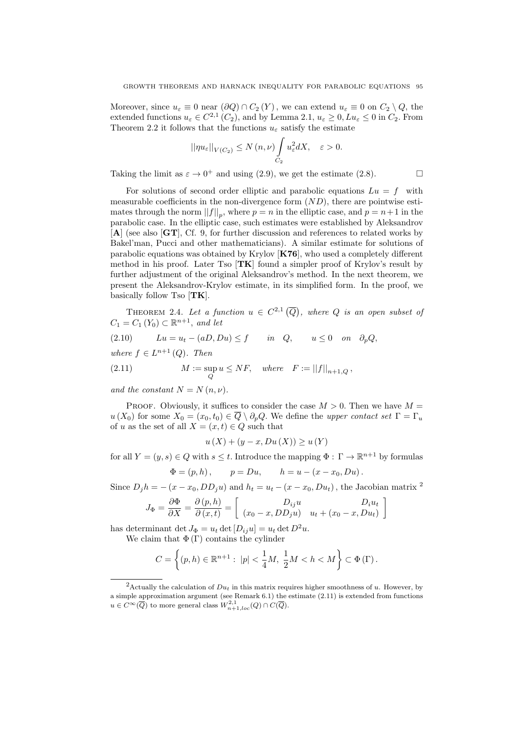Moreover, since  $u_{\varepsilon} \equiv 0$  near  $(\partial Q) \cap C_2(Y)$ , we can extend  $u_{\varepsilon} \equiv 0$  on  $C_2 \setminus Q$ , the extended functions  $u_{\varepsilon} \in C^{2,1}(C_2)$ , and by Lemma 2.1,  $u_{\varepsilon} \geq 0$ ,  $Lu_{\varepsilon} \leq 0$  in  $C_2$ . From Theorem 2.2 it follows that the functions  $u_{\varepsilon}$  satisfy the estimate

$$
||\eta u_{\varepsilon}||_{V(C_2)} \le N(\eta,\nu) \int\limits_{C_2} u_{\varepsilon}^2 dX, \quad \varepsilon > 0.
$$

Taking the limit as  $\varepsilon \to 0^+$  and using (2.9), we get the estimate (2.8).

For solutions of second order elliptic and parabolic equations  $Lu = f$  with measurable coefficients in the non-divergence form  $(ND)$ , there are pointwise estimates through the norm  $||f||_p$ , where  $p = n$  in the elliptic case, and  $p = n+1$  in the parabolic case. In the elliptic case, such estimates were established by Aleksandrov [A] (see also [GT], Cf. 9, for further discussion and references to related works by Bakel'man, Pucci and other mathematicians). A similar estimate for solutions of parabolic equations was obtained by Krylov [K76], who used a completely different method in his proof. Later Tso  $|\mathbf{T}\mathbf{K}|$  found a simpler proof of Krylov's result by further adjustment of the original Aleksandrov's method. In the next theorem, we present the Aleksandrov-Krylov estimate, in its simplified form. In the proof, we basically follow Tso  $[TK]$ .

THEOREM 2.4. Let a function  $u \in C^{2,1}(\overline{Q})$ , where Q is an open subset of  $C_1 = C_1(Y_0) \subset \mathbb{R}^{n+1}$ , and let

$$
(2.10) \t Lu = u_t - (aD, Du) \le f \t in Q, \t u \le 0 \t on \t \partial_p Q,
$$

where  $f \in L^{n+1}(Q)$ . Then

(2.11) 
$$
M := \sup_{Q} u \leq NF, \text{ where } F := ||f||_{n+1,Q},
$$

and the constant  $N = N(n, \nu)$ .

PROOF. Obviously, it suffices to consider the case  $M > 0$ . Then we have  $M =$  $u(X_0)$  for some  $X_0 = (x_0, t_0) \in \overline{Q} \setminus \partial_p Q$ . We define the upper contact set  $\Gamma = \Gamma_u$ of u as the set of all  $X = (x, t) \in Q$  such that

$$
u(X) + (y - x, Du(X)) \ge u(Y)
$$

for all  $Y = (y, s) \in Q$  with  $s \le t$ . Introduce the mapping  $\Phi : \Gamma \to \mathbb{R}^{n+1}$  by formulas

 $\Phi = (p, h), \qquad p = Du, \qquad h = u - (x - x_0, Du).$ 

Since  $D_j h = -(x - x_0, DD_j u)$  and  $h_t = u_t - (x - x_0, Du_t)$ , the Jacobian matrix <sup>2</sup>

$$
J_{\Phi} = \frac{\partial \Phi}{\partial X} = \frac{\partial (p, h)}{\partial (x, t)} = \begin{bmatrix} D_{ij}u & D_i u_t \\ (x_0 - x, DD_j u) & u_t + (x_0 - x, Du_t) \end{bmatrix}
$$

has determinant det  $J_{\Phi} = u_t \det [D_{ii}u] = u_t \det D^2 u$ .

We claim that  $\Phi(\Gamma)$  contains the cylinder

$$
C = \left\{ (p, h) \in \mathbb{R}^{n+1} : |p| < \frac{1}{4}M, \ \frac{1}{2}M < h < M \right\} \subset \Phi \left( \Gamma \right).
$$

<sup>&</sup>lt;sup>2</sup>Actually the calculation of  $Du_t$  in this matrix requires higher smoothness of u. However, by a simple approximation argument (see Remark 6.1) the estimate (2.11) is extended from functions  $u \in C^{\infty}(\overline{Q})$  to more general class  $W^{2,1}_{n+1,loc}(Q) \cap C(\overline{Q})$ .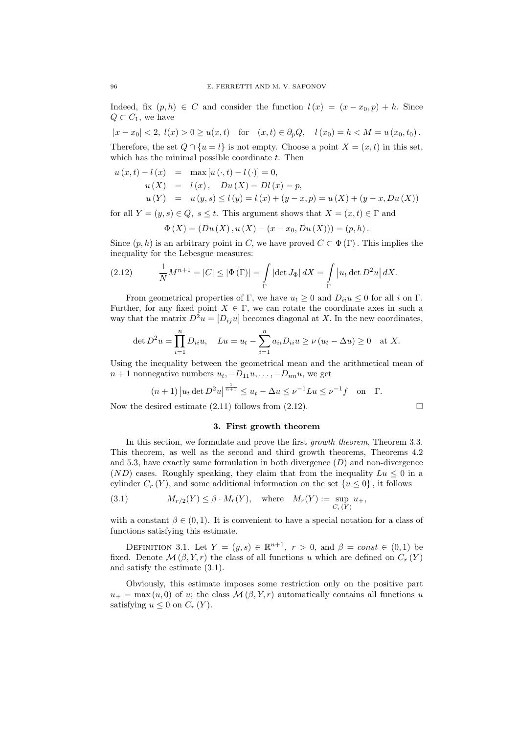Indeed, fix  $(p, h) \in C$  and consider the function  $l(x) = (x - x_0, p) + h$ . Since  $Q \subset C_1$ , we have

 $|x-x_0| < 2$ ,  $l(x) > 0 \ge u(x,t)$  for  $(x,t) \in \partial_p Q$ ,  $l(x_0) = h < M = u(x_0, t_0)$ .

Therefore, the set  $Q \cap \{u = l\}$  is not empty. Choose a point  $X = (x, t)$  in this set, which has the minimal possible coordinate  $t$ . Then

$$
u(x,t) - l(x) = \max [u(\cdot, t) - l(\cdot)] = 0,
$$
  
\n
$$
u(X) = l(x), Du(X) = Dl(x) = p,
$$
  
\n
$$
u(Y) = u(y,s) \le l(y) = l(x) + (y - x, p) = u(X) + (y - x, Du(X))
$$

for all  $Y = (y, s) \in Q$ ,  $s \le t$ . This argument shows that  $X = (x, t) \in \Gamma$  and

$$
\Phi(X) = (Du(X), u(X) - (x - x_0, Du(X))) = (p, h).
$$

Since  $(p, h)$  is an arbitrary point in C, we have proved  $C \subset \Phi(\Gamma)$ . This implies the inequality for the Lebesgue measures:

(2.12) 
$$
\frac{1}{N}M^{n+1} = |C| \leq |\Phi(\Gamma)| = \int_{\Gamma} |\det J_{\Phi}| dX = \int_{\Gamma} |u_t \det D^2 u| dX.
$$

From geometrical properties of Γ, we have  $u_t \geq 0$  and  $D_{ii}u \leq 0$  for all i on Γ. Further, for any fixed point  $X \in \Gamma$ , we can rotate the coordinate axes in such a way that the matrix  $D^2u = [D_{ij}u]$  becomes diagonal at X. In the new coordinates,

$$
\det D^2 u = \prod_{i=1}^n D_{ii} u, \quad Lu = u_t - \sum_{i=1}^n a_{ii} D_{ii} u \ge \nu (u_t - \Delta u) \ge 0 \quad \text{at } X.
$$

Using the inequality between the geometrical mean and the arithmetical mean of  $n + 1$  nonnegative numbers  $u_t, -D_{11}u, \ldots, -D_{nn}u$ , we get

$$
(n+1) | u_t \det D^2 u|^{\frac{1}{n+1}} \leq u_t - \Delta u \leq \nu^{-1} Lu \leq \nu^{-1} f
$$
 on  $\Gamma$ .

Now the desired estimate  $(2.11)$  follows from  $(2.12)$ .

### 3. First growth theorem

In this section, we formulate and prove the first growth theorem, Theorem 3.3. This theorem, as well as the second and third growth theorems, Theorems 4.2 and 5.3, have exactly same formulation in both divergence  $(D)$  and non-divergence  $(ND)$  cases. Roughly speaking, they claim that from the inequality  $Lu < 0$  in a cylinder  $C_r(Y)$ , and some additional information on the set  $\{u \le 0\}$ , it follows

(3.1) 
$$
M_{r/2}(Y) \leq \beta \cdot M_r(Y), \quad \text{where} \quad M_r(Y) := \sup_{C_r(Y)} u_+,
$$

with a constant  $\beta \in (0, 1)$ . It is convenient to have a special notation for a class of functions satisfying this estimate.

DEFINITION 3.1. Let  $Y = (y, s) \in \mathbb{R}^{n+1}$ ,  $r > 0$ , and  $\beta = const \in (0, 1)$  be fixed. Denote  $\mathcal{M}(\beta, Y, r)$  the class of all functions u which are defined on  $C_r(Y)$ and satisfy the estimate (3.1).

Obviously, this estimate imposes some restriction only on the positive part  $u_{+} = \max(u, 0)$  of u; the class  $\mathcal{M}(\beta, Y, r)$  automatically contains all functions u satisfying  $u \leq 0$  on  $C_r(Y)$ .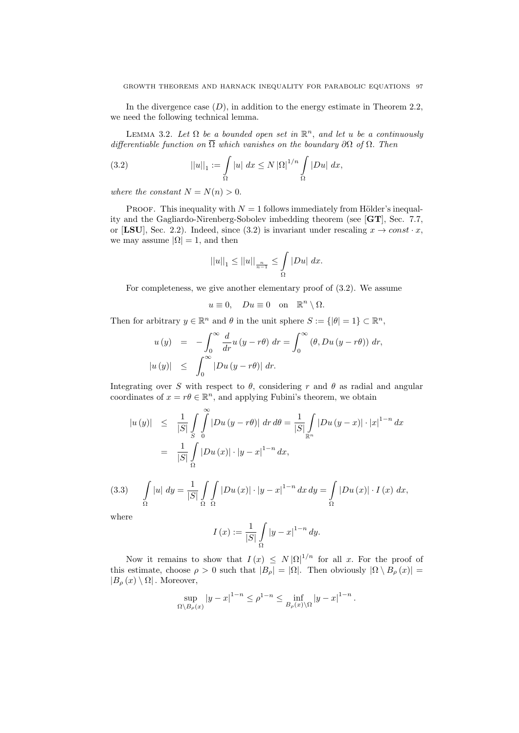In the divergence case  $(D)$ , in addition to the energy estimate in Theorem 2.2, we need the following technical lemma.

LEMMA 3.2. Let  $\Omega$  be a bounded open set in  $\mathbb{R}^n$ , and let u be a continuously differentiable function on  $\overline{\Omega}$  which vanishes on the boundary  $\partial\Omega$  of  $\Omega$ . Then

(3.2) 
$$
||u||_1 := \int_{\Omega} |u| \, dx \le N |\Omega|^{1/n} \int_{\Omega} |Du| \, dx,
$$

where the constant  $N = N(n) > 0$ .

PROOF. This inequality with  $N = 1$  follows immediately from Hölder's inequality and the Gagliardo-Nirenberg-Sobolev imbedding theorem (see [GT], Sec. 7.7, or [LSU], Sec. 2.2). Indeed, since (3.2) is invariant under rescaling  $x \to const \cdot x$ , we may assume  $|\Omega| = 1$ , and then

$$
||u||_1 \le ||u||_{\frac{n}{n-1}} \le \int_{\Omega} |Du| \ dx.
$$

For completeness, we give another elementary proof of (3.2). We assume

$$
u \equiv 0
$$
,  $Du \equiv 0$  on  $\mathbb{R}^n \setminus \Omega$ .

Then for arbitrary  $y \in \mathbb{R}^n$  and  $\theta$  in the unit sphere  $S := \{ |\theta| = 1 \} \subset \mathbb{R}^n$ ,

$$
u(y) = -\int_0^\infty \frac{d}{dr} u (y - r\theta) dr = \int_0^\infty (\theta, Du (y - r\theta)) dr,
$$
  

$$
|u(y)| \le \int_0^\infty |Du (y - r\theta)| dr.
$$

Integrating over S with respect to  $\theta$ , considering r and  $\theta$  as radial and angular coordinates of  $x = r\theta \in \mathbb{R}^n$ , and applying Fubini's theorem, we obtain

$$
|u(y)| \leq \frac{1}{|S|} \int_{S} \int_{0}^{\infty} |Du(y - r\theta)| dr d\theta = \frac{1}{|S|} \int_{\mathbb{R}^{n}} |Du(y - x)| \cdot |x|^{1-n} dx
$$
  
= 
$$
\frac{1}{|S|} \int_{\Omega} |Du(x)| \cdot |y - x|^{1-n} dx,
$$

(3.3) 
$$
\int_{\Omega} |u| \, dy = \frac{1}{|S|} \int_{\Omega} \int_{\Omega} |Du(x)| \cdot |y - x|^{1-n} \, dx \, dy = \int_{\Omega} |Du(x)| \cdot I(x) \, dx,
$$

where

$$
I(x) := \frac{1}{|S|} \int_{\Omega} |y - x|^{1-n} dy.
$$

Now it remains to show that  $I(x) \leq N |\Omega|^{1/n}$  for all x. For the proof of this estimate, choose  $\rho > 0$  such that  $|B_{\rho}| = |\Omega|$ . Then obviously  $|\Omega \setminus B_{\rho}(x)| =$  $|B_{\rho}(x)\setminus\Omega|$ . Moreover,

$$
\sup_{\Omega \backslash B_{\rho}(x)} |y - x|^{1-n} \le \rho^{1-n} \le \inf_{B_{\rho}(x) \backslash \Omega} |y - x|^{1-n}.
$$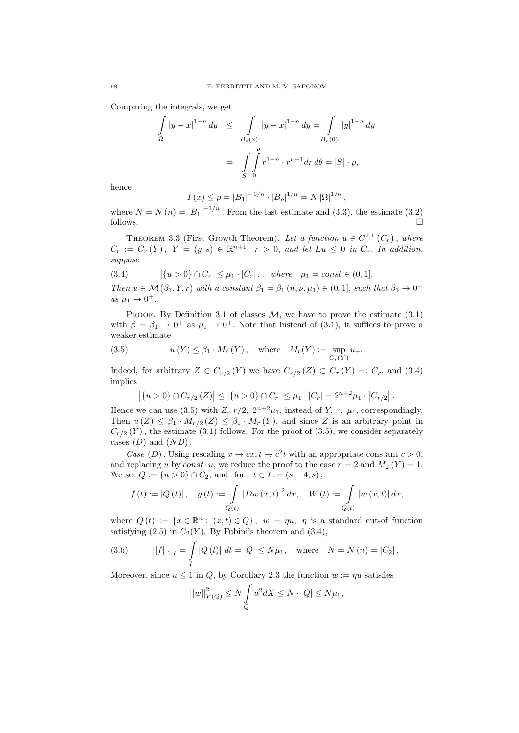Comparing the integrals, we get

$$
\int_{\Omega} |y - x|^{1-n} dy \le \int_{B_{\rho}(x)} |y - x|^{1-n} dy = \int_{B_{\rho}(0)} |y|^{1-n} dy
$$

$$
= \int_{S} \int_{0}^{\rho} r^{1-n} \cdot r^{n-1} dr d\theta = |S| \cdot \rho,
$$

hence

$$
I(x) \le \rho = |B_1|^{-1/n} \cdot |B_\rho|^{1/n} = N |\Omega|^{1/n}
$$

where  $N = N(n) = |B_1|^{-1/n}$ . From the last estimate and (3.3), the estimate (3.2)  $\Box$  follows.

,

THEOREM 3.3 (First Growth Theorem). Let a function  $u \in C^{2,1}(\overline{C_r})$ , where  $C_r := C_r(Y)$ ,  $Y = (y, s) \in \mathbb{R}^{n+1}$ ,  $r > 0$ , and let  $Lu \leq 0$  in  $C_r$ . In addition, suppose

$$
(3.4) \t\t | \{u > 0\} \cap C_r | \leq \mu_1 \cdot |C_r|, \text{ where } \mu_1 = const \in (0,1].
$$

Then  $u \in \mathcal{M}(\beta_1, Y, r)$  with a constant  $\beta_1 = \beta_1 (n, \nu, \mu_1) \in (0, 1]$ , such that  $\beta_1 \to 0^+$ as  $\mu_1 \rightarrow 0^+$ .

PROOF. By Definition 3.1 of classes  $M$ , we have to prove the estimate (3.1) with  $\beta = \beta_1 \rightarrow 0^+$  as  $\mu_1 \rightarrow 0^+$ . Note that instead of (3.1), it suffices to prove a weaker estimate

(3.5) 
$$
u(Y) \leq \beta_1 \cdot M_r(Y), \quad \text{where} \quad M_r(Y) := \sup_{C_r(Y)} u_+.
$$

Indeed, for arbitrary  $Z \in C_{r/2}(Y)$  we have  $C_{r/2}(Z) \subset C_r(Y) =: C_r$ , and (3.4) implies

$$
\left| \{ u > 0 \} \cap C_{r/2} \left( Z \right) \right| \leq \left| \{ u > 0 \} \cap C_r \right| \leq \mu_1 \cdot \left| C_r \right| = 2^{n+2} \mu_1 \cdot \left| C_{r/2} \right|.
$$

Hence we can use (3.5) with Z,  $r/2$ ,  $2^{n+2}\mu_1$ , instead of Y, r,  $\mu_1$ , correspondingly. Then  $u(Z) \leq \beta_1 \cdot M_{r/2}(Z) \leq \beta_1 \cdot M_r(Y)$ , and since Z is an arbitrary point in  $C_{r/2}(Y)$ , the estimate (3.1) follows. For the proof of (3.5), we consider separately cases  $(D)$  and  $(ND)$ .

Case (D). Using rescaling  $x \to cx, t \to c^2t$  with an appropriate constant  $c > 0$ , and replacing u by const  $u$ , we reduce the proof to the case  $r = 2$  and  $M_2(Y) = 1$ . We set  $Q := \{u > 0\} \cap C_2$ , and for  $t \in I := (s - 4, s)$ ,

$$
f(t) := |Q(t)|, \quad g(t) := \int_{Q(t)} |Dw(x,t)|^2 dx, \quad W(t) := \int_{Q(t)} |w(x,t)| dx,
$$

where  $Q(t) := \{x \in \mathbb{R}^n : (x,t) \in Q\}$ ,  $w = \eta u$ ,  $\eta$  is a standard cut-of function satisfying  $(2.5)$  in  $C_2(Y)$ . By Fubini's theorem and  $(3.4)$ ,

(3.6) 
$$
||f||_{1,I} = \int_{I} |Q(t)| dt = |Q| \le N\mu_1, \text{ where } N = N(n) = |C_2|.
$$

Moreover, since  $u \leq 1$  in Q, by Corollary 2.3 the function  $w := \eta u$  satisfies

$$
||w||_{V(Q)}^2 \le N \int\limits_Q u^2 dX \le N \cdot |Q| \le N\mu_1,
$$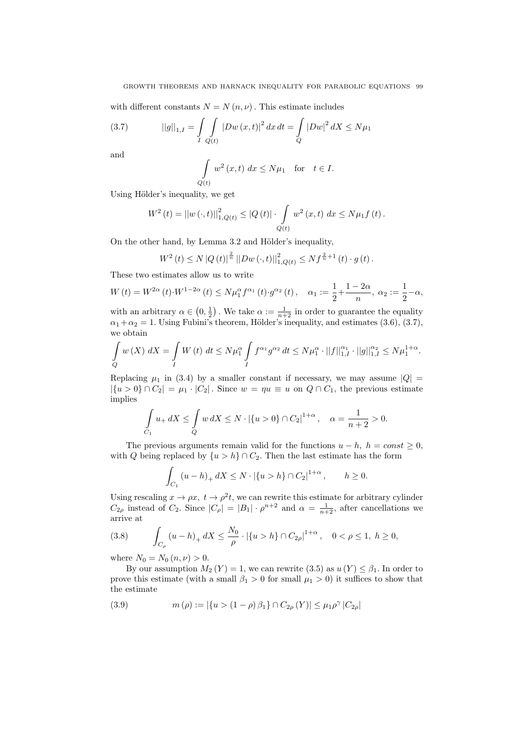with different constants  $N = N(n, \nu)$ . This estimate includes

(3.7) 
$$
||g||_{1,I} = \int\int\limits_{I} \int\limits_{Q(t)} |Dw(x,t)|^2 dx dt = \int\limits_{Q} |Dw|^2 dX \le N\mu_1
$$

and

$$
\int_{Q(t)} w^2(x,t) dx \le N\mu_1 \text{ for } t \in I.
$$

Using Hölder's inequality, we get

$$
W^{2}(t) = ||w(\cdot,t)||_{1,Q(t)}^{2} \leq |Q(t)| \cdot \int_{Q(t)} w^{2}(x,t) dx \leq N\mu_{1}f(t).
$$

On the other hand, by Lemma 3.2 and Hölder's inequality,

$$
W^{2}(t) \leq N |Q(t)|^{\frac{2}{n}} \left| |D w(\cdot, t)| \right|_{1, Q(t)}^{2} \leq N f^{\frac{2}{n}+1}(t) \cdot g(t).
$$

These two estimates allow us to write

$$
W(t) = W^{2\alpha}(t) \cdot W^{1-2\alpha}(t) \le N\mu_1^{\alpha} f^{\alpha_1}(t) \cdot g^{\alpha_2}(t), \quad \alpha_1 := \frac{1}{2} + \frac{1-2\alpha}{n}, \ \alpha_2 := \frac{1}{2} - \alpha,
$$

with an arbitrary  $\alpha \in (0, \frac{1}{2})$ . We take  $\alpha := \frac{1}{n+2}$  in order to guarantee the equality  $\alpha_1 + \alpha_2 = 1$ . Using Fubini's theorem, Hölder's inequality, and estimates (3.6), (3.7), we obtain

$$
\int_{Q} w(X) dX = \int_{I} W(t) dt \leq N\mu_1^{\alpha} \int_{I} f^{\alpha_1} g^{\alpha_2} dt \leq N\mu_1^{\alpha} \cdot ||f||_{1,I}^{\alpha_1} \cdot ||g||_{1,I}^{\alpha_2} \leq N\mu_1^{1+\alpha}.
$$

Replacing  $\mu_1$  in (3.4) by a smaller constant if necessary, we may assume  $|Q|$  =  $|\{u > 0\} \cap C_2| = \mu_1 \cdot |C_2|$ . Since  $w = \eta u \equiv u$  on  $Q \cap C_1$ , the previous estimate implies

$$
\int_{C_1} u_+ dX \le \int_{Q} w dX \le N \cdot |\{u > 0\} \cap C_2|^{1+\alpha}, \quad \alpha = \frac{1}{n+2} > 0.
$$

The previous arguments remain valid for the functions  $u - h$ ,  $h = const \geq 0$ , with Q being replaced by  $\{u > h\} \cap C_2$ . Then the last estimate has the form

$$
\int_{C_1} (u - h)_+ dX \le N \cdot |\{u > h\} \cap C_2|^{1 + \alpha}, \qquad h \ge 0.
$$

Using rescaling  $x \to \rho x$ ,  $t \to \rho^2 t$ , we can rewrite this estimate for arbitrary cylinder  $C_{2\rho}$  instead of  $C_2$ . Since  $|C_{\rho}| = |B_1| \cdot \rho^{n+2}$  and  $\alpha = \frac{1}{n+2}$ , after cancellations we arrive at

$$
(3.8) \qquad \int_{C_{\rho}} (u-h)_+ dX \le \frac{N_0}{\rho} \cdot |\{u > h\} \cap C_{2\rho}|^{1+\alpha}, \quad 0 < \rho \le 1, \ h \ge 0,
$$

where  $N_0 = N_0 (n, \nu) > 0$ .

By our assumption  $M_2(Y) = 1$ , we can rewrite (3.5) as  $u(Y) \leq \beta_1$ . In order to prove this estimate (with a small  $\beta_1 > 0$  for small  $\mu_1 > 0$ ) it suffices to show that the estimate

(3.9) 
$$
m(\rho) := |\{u > (1 - \rho)\beta_1\} \cap C_{2\rho}(Y)| \le \mu_1 \rho^{\gamma} |C_{2\rho}|
$$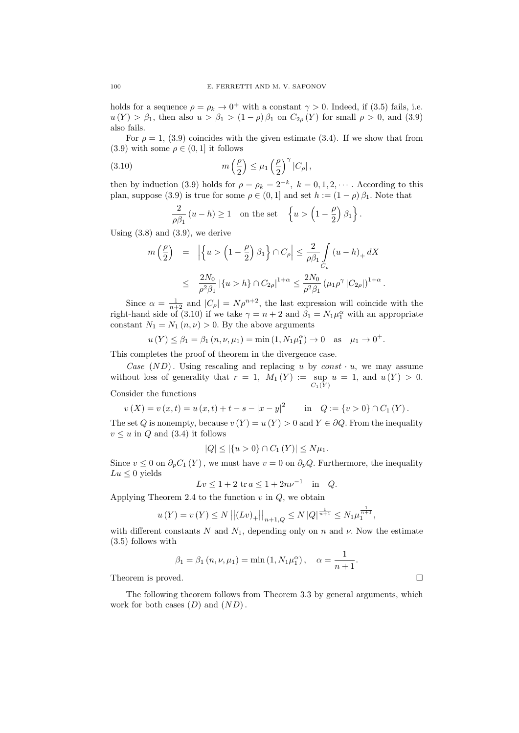holds for a sequence  $\rho = \rho_k \to 0^+$  with a constant  $\gamma > 0$ . Indeed, if (3.5) fails, i.e.  $u(Y) > \beta_1$ , then also  $u > \beta_1 > (1 - \rho)\beta_1$  on  $C_{2\rho}(Y)$  for small  $\rho > 0$ , and (3.9) also fails.

For  $\rho = 1$ , (3.9) coincides with the given estimate (3.4). If we show that from (3.9) with some  $\rho \in (0, 1]$  it follows

(3.10) 
$$
m\left(\frac{\rho}{2}\right) \leq \mu_1 \left(\frac{\rho}{2}\right)^{\gamma} |C_{\rho}|,
$$

then by induction (3.9) holds for  $\rho = \rho_k = 2^{-k}, k = 0, 1, 2, \cdots$ . According to this plan, suppose (3.9) is true for some  $\rho \in (0,1]$  and set  $h := (1 - \rho) \beta_1$ . Note that

$$
\frac{2}{\rho \beta_1} (u - h) \ge 1 \quad \text{on the set} \quad \left\{ u > \left( 1 - \frac{\rho}{2} \right) \beta_1 \right\}.
$$

Using  $(3.8)$  and  $(3.9)$ , we derive

$$
\begin{array}{lcl} m\left(\dfrac{\rho}{2}\right) & = & \left| \left\{u > \left(1-\dfrac{\rho}{2}\right)\beta_1\right\}\cap C_\rho \right| \leq \dfrac{2}{\rho \beta_1}\int\limits_{C_\rho} \left(u-h\right)_+dX \\ \\ & \leq & \dfrac{2N_0}{\rho^2\beta_1}\left| \left\{u > h\right\}\cap C_{2\rho} \right|^{1+\alpha} \leq \dfrac{2N_0}{\rho^2\beta_1}\left(\mu_1\rho^{\gamma}\left|C_{2\rho}\right|\right)^{1+\alpha}. \end{array}
$$

Since  $\alpha = \frac{1}{n+2}$  and  $|C_{\rho}| = N \rho^{n+2}$ , the last expression will coincide with the right-hand side of (3.10) if we take  $\gamma = n + 2$  and  $\beta_1 = N_1 \mu_1^{\alpha}$  with an appropriate constant  $N_1 = N_1(n, \nu) > 0$ . By the above arguments

$$
u(Y) \le \beta_1 = \beta_1 (n, \nu, \mu_1) = \min(1, N_1 \mu_1^{\alpha}) \to 0
$$
 as  $\mu_1 \to 0^+$ .

This completes the proof of theorem in the divergence case.

Case  $(ND)$ . Using rescaling and replacing u by const  $\cdot u$ , we may assume without loss of generality that  $r = 1$ ,  $M_1(Y) := \text{sup } u = 1$ , and  $u(Y) > 0$ .  $C_1(Y)$ 

## Consider the functions

 $v(X) = v(x,t) = u(x,t) + t - s - |x - y|^2$  in  $Q := \{v > 0\} \cap C_1(Y)$ . The set Q is nonempty, because  $v(Y) = u(Y) > 0$  and  $Y \in \partial Q$ . From the inequality  $v \leq u$  in Q and (3.4) it follows

$$
|Q| \leq |\{u > 0\} \cap C_1(Y)| \leq N\mu_1.
$$

Since  $v \leq 0$  on  $\partial_p C_1(Y)$ , we must have  $v = 0$  on  $\partial_p Q$ . Furthermore, the inequality  $Lu < 0$  yields

$$
Lv \le 1 + 2 \text{ tr } a \le 1 + 2nv^{-1}
$$
 in Q.

Applying Theorem 2.4 to the function  $v$  in  $Q$ , we obtain

$$
u(Y) = v(Y) \le N ||(Lv)_+||_{n+1,Q} \le N |Q|^{\frac{1}{n+1}} \le N_1 \mu_1^{\frac{1}{n+1}},
$$

with different constants N and  $N_1$ , depending only on n and  $\nu$ . Now the estimate (3.5) follows with

$$
\beta_1 = \beta_1 (n, \nu, \mu_1) = \min (1, N_1 \mu_1^{\alpha}), \quad \alpha = \frac{1}{n+1}.
$$

Theorem is proved.

The following theorem follows from Theorem 3.3 by general arguments, which work for both cases  $(D)$  and  $(ND)$ .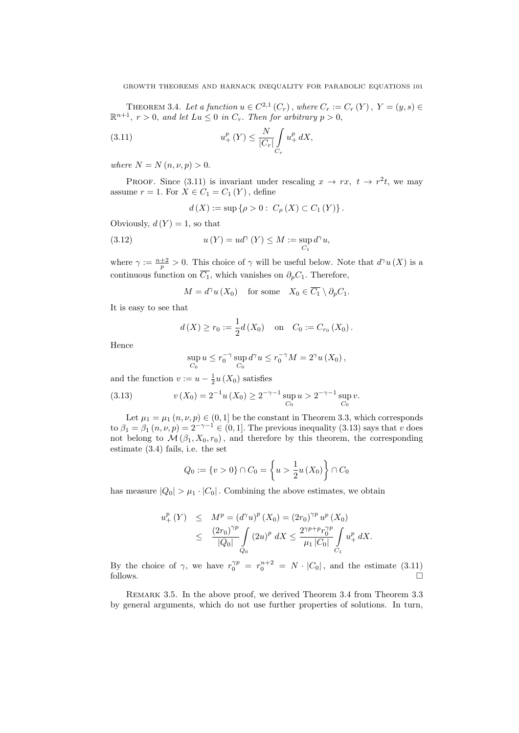THEOREM 3.4. Let a function  $u \in C^{2,1}(C_r)$ , where  $C_r := C_r(Y)$ ,  $Y = (y, s) \in$  $\mathbb{R}^{n+1}$ ,  $r > 0$ , and let  $Lu \leq 0$  in  $C_r$ . Then for arbitrary  $p > 0$ ,

(3.11) 
$$
u_{+}^{p}(Y) \leq \frac{N}{|C_{r}|} \int_{C_{r}} u_{+}^{p} dX,
$$

where  $N = N(n, \nu, p) > 0$ .

PROOF. Since (3.11) is invariant under rescaling  $x \to rx$ ,  $t \to r^2t$ , we may assume  $r = 1$ . For  $X \in C_1 = C_1(Y)$ , define

$$
d(X) := \sup \{ \rho > 0 : C_{\rho}(X) \subset C_1(Y) \}.
$$

Obviously,  $d(Y) = 1$ , so that

(3.12) 
$$
u(Y) = ud^{\gamma}(Y) \leq M := \sup_{C_1} d^{\gamma}u,
$$

where  $\gamma := \frac{n+2}{p} > 0$ . This choice of  $\gamma$  will be useful below. Note that  $d^{\gamma}u(X)$  is a continuous function on  $\overline{C_1}$ , which vanishes on  $\partial_p C_1$ . Therefore,

$$
M = d^{\gamma} u(X_0) \quad \text{for some} \quad X_0 \in \overline{C_1} \setminus \partial_p C_1.
$$

It is easy to see that

$$
d(X) \ge r_0 := \frac{1}{2}d(X_0)
$$
 on  $C_0 := C_{r_0}(X_0)$ .

Hence

$$
\sup_{C_0} u \leq r_0^{-\gamma} \sup_{C_0} d^{\gamma} u \leq r_0^{-\gamma} M = 2^{\gamma} u(X_0),
$$

and the function  $v := u - \frac{1}{2}u(X_0)$  satisfies

(3.13) 
$$
v(X_0) = 2^{-1}u(X_0) \ge 2^{-\gamma - 1} \sup_{C_0} u > 2^{-\gamma - 1} \sup_{C_0} v.
$$

Let  $\mu_1 = \mu_1$   $(n, \nu, p) \in (0, 1]$  be the constant in Theorem 3.3, which corresponds to  $\beta_1 = \beta_1 (n, \nu, p) = 2^{-\gamma - 1} \in (0, 1]$ . The previous inequality (3.13) says that v does not belong to  $\mathcal{M}(\beta_1, X_0, r_0)$ , and therefore by this theorem, the corresponding estimate (3.4) fails, i.e. the set

$$
Q_0 := \{v > 0\} \cap C_0 = \left\{u > \frac{1}{2}u(X_0)\right\} \cap C_0
$$

has measure  $|Q_0| > \mu_1 \cdot |C_0|$ . Combining the above estimates, we obtain

$$
u_{+}^{p}(Y) \leq M^{p} = (d^{\gamma}u)^{p}(X_{0}) = (2r_{0})^{\gamma p} u^{p}(X_{0})
$$
  
 
$$
\leq \frac{(2r_{0})^{\gamma p}}{|Q_{0}|} \int_{Q_{0}} (2u)^{p} dX \leq \frac{2^{\gamma p+p} r_{0}^{\gamma p}}{\mu_{1} |C_{0}|} \int_{C_{1}} u_{+}^{p} dX.
$$

By the choice of  $\gamma$ , we have  $r_0^{\gamma p} = r_0^{n+2} = N \cdot |C_0|$ , and the estimate (3.11)  $\Box$  follows.

Remark 3.5. In the above proof, we derived Theorem 3.4 from Theorem 3.3 by general arguments, which do not use further properties of solutions. In turn,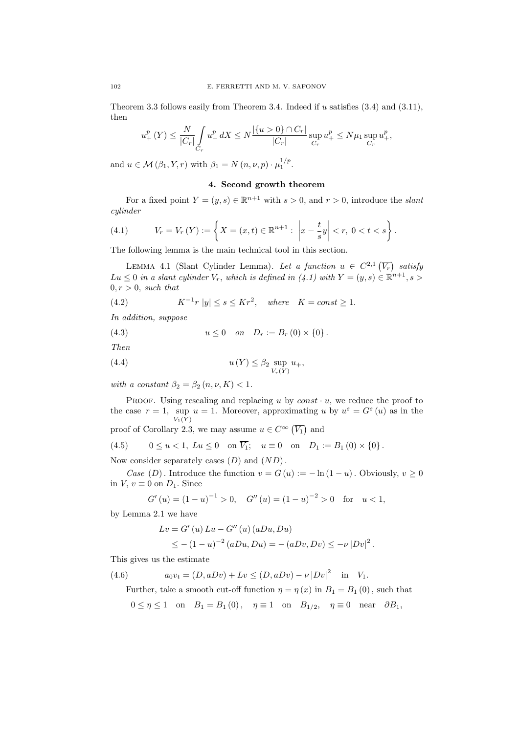Theorem 3.3 follows easily from Theorem 3.4. Indeed if u satisfies (3.4) and (3.11), then

$$
u_{+}^{p}(Y) \leq \frac{N}{|C_{r}|} \int_{C_{r}} u_{+}^{p} dX \leq N \frac{|\{u > 0\} \cap C_{r}|}{|C_{r}|} \sup_{C_{r}} u_{+}^{p} \leq N \mu_{1} \sup_{C_{r}} u_{+}^{p},
$$

and  $u \in \mathcal{M}(\beta_1, Y, r)$  with  $\beta_1 = N(n, \nu, p) \cdot \mu_1^{1/p}$ .

## 4. Second growth theorem

For a fixed point  $Y = (y, s) \in \mathbb{R}^{n+1}$  with  $s > 0$ , and  $r > 0$ , introduce the *slant* cylinder

(4.1) 
$$
V_r = V_r(Y) := \left\{ X = (x, t) \in \mathbb{R}^{n+1} : \left| x - \frac{t}{s} y \right| < r, \ 0 < t < s \right\}.
$$

The following lemma is the main technical tool in this section.

LEMMA 4.1 (Slant Cylinder Lemma). Let a function  $u \in C^{2,1}(\overline{V_r})$  satisfy  $Lu \leq 0$  in a slant cylinder  $V_r$ , which is defined in  $(4.1)$  with  $Y = (y, s) \in \mathbb{R}^{n+1}, s >$  $0, r > 0$ , such that

(4.2) 
$$
K^{-1}r \, |y| \le s \le Kr^2, \quad \text{where} \quad K = const \ge 1.
$$

In addition, suppose

(4.3) 
$$
u \le 0
$$
 on  $D_r := B_r(0) \times \{0\}.$ 

Then

$$
(4.4) \t u(Y) \leq \beta_2 \sup_{V_r(Y)} u_+,
$$

with a constant  $\beta_2 = \beta_2 (n, \nu, K) < 1$ .

PROOF. Using rescaling and replacing u by  $const \cdot u$ , we reduce the proof to the case  $r = 1$ , sup  $u = 1$ . Moreover, approximating u by  $u^{\varepsilon} = G^{\varepsilon}(u)$  as in the  $V_1(Y)$ 

proof of Corollary 2.3, we may assume  $u \in C^{\infty}(\overline{V_1})$  and

(4.5) 
$$
0 \le u < 1
$$
,  $Lu \le 0$  on  $\overline{V_1}$ ;  $u \equiv 0$  on  $D_1 := B_1(0) \times \{0\}$ .

Now consider separately cases  $(D)$  and  $(ND)$ .

Case (D). Introduce the function  $v = G(u) := -\ln(1-u)$ . Obviously,  $v \ge 0$ in  $V, v \equiv 0$  on  $D_1$ . Since

$$
G'(u) = (1 - u)^{-1} > 0
$$
,  $G''(u) = (1 - u)^{-2} > 0$  for  $u < 1$ ,

by Lemma 2.1 we have

$$
Lv = G'(u) Lu - G''(u) (aDu, Du)
$$
  
 
$$
\leq -(1-u)^{-2} (aDu, Du) = -(aDv, Dv) \leq -\nu |Dv|^2.
$$

This gives us the estimate

(4.6) 
$$
a_0v_t = (D, aDv) + Lv \le (D, aDv) - \nu |Dv|^2 \text{ in } V_1.
$$

Further, take a smooth cut-off function  $\eta = \eta(x)$  in  $B_1 = B_1(0)$ , such that

 $0 \leq \eta \leq 1$  on  $B_1 = B_1(0)$ ,  $\eta \equiv 1$  on  $B_{1/2}$ ,  $\eta \equiv 0$  near  $\partial B_1$ ,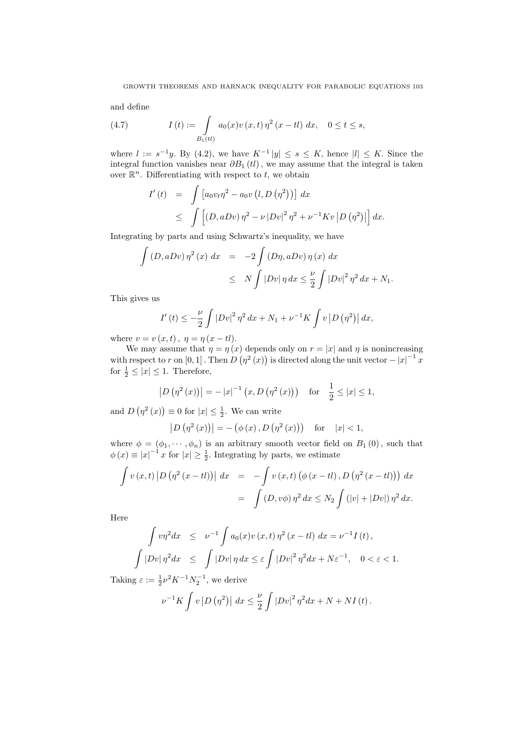and define

(4.7) 
$$
I(t) := \int_{B_1(t)} a_0(x) v(x, t) \eta^2 (x - t I) dx, \quad 0 \le t \le s,
$$

where  $l := s^{-1}y$ . By (4.2), we have  $K^{-1}|y| \leq s \leq K$ , hence  $|l| \leq K$ . Since the integral function vanishes near  $\partial B_1 (tl)$ , we may assume that the integral is taken over  $\mathbb{R}^n$ . Differentiating with respect to t, we obtain

$$
I'(t) = \int [a_0 v_t \eta^2 - a_0 v (l, D(\eta^2))] dx
$$
  
 
$$
\leq \int [(D, aDv) \eta^2 - \nu |Dv|^2 \eta^2 + \nu^{-1} K v |D(\eta^2)|] dx.
$$

Integrating by parts and using Schwartz's inequality, we have

$$
\int (D, aDv) \eta^2(x) dx = -2 \int (D\eta, aDv) \eta(x) dx
$$
  

$$
\leq N \int |Dv| \eta dx \leq \frac{\nu}{2} \int |Dv|^2 \eta^2 dx + N_1.
$$

This gives us

$$
I'(t) \le -\frac{\nu}{2} \int |Dv|^2 \,\eta^2 \,dx + N_1 + \nu^{-1} K \int v \,|D(\eta^2)| \,dx,
$$

where  $v = v(x, t)$ ,  $\eta = \eta(x - tl)$ .

We may assume that  $\eta = \eta(x)$  depends only on  $r = |x|$  and  $\eta$  is nonincreasing with respect to r on [0, 1]. Then  $D(\eta^2(x))$  is directed along the unit vector  $-|x|^{-1}x$ for  $\frac{1}{2} \leq |x| \leq 1$ . Therefore,

$$
|D(\eta^{2}(x))| = -|x|^{-1}(x, D(\eta^{2}(x)))
$$
 for  $\frac{1}{2} \leq |x| \leq 1$ ,

and  $D(\eta^2(x)) \equiv 0$  for  $|x| \leq \frac{1}{2}$ . We can write

$$
|D(\eta^{2}(x))| = -(\phi(x), D(\eta^{2}(x)))
$$
 for  $|x| < 1$ ,

where  $\phi = (\phi_1, \dots, \phi_n)$  is an arbitrary smooth vector field on  $B_1(0)$ , such that  $\phi(x) \equiv |x|^{-1} x$  for  $|x| \ge \frac{1}{2}$ . Integrating by parts, we estimate

$$
\int v(x,t) |D(\eta^{2}(x - tl))| dx = -\int v(x,t) (\phi(x - tl), D(\eta^{2}(x - tl))) dx
$$

$$
= \int (D, v\phi) \eta^{2} dx \leq N_{2} \int (|v| + |Dv|) \eta^{2} dx.
$$

Here

$$
\int v\eta^2 dx \leq \nu^{-1} \int a_0(x)v(x,t)\eta^2 (x - t\mathbf{l}) dx = \nu^{-1}I(t),
$$
  

$$
\int |Dv|\eta^2 dx \leq \int |Dv|\eta dx \leq \varepsilon \int |Dv|^2 \eta^2 dx + N\varepsilon^{-1}, \quad 0 < \varepsilon < 1.
$$

Taking  $\varepsilon := \frac{1}{2} \nu^2 K^{-1} N_2^{-1}$ , we derive

$$
\nu^{-1}K \int v |D(\eta^2)| dx \leq \frac{\nu}{2} \int |Dv|^2 \eta^2 dx + N + NI(t).
$$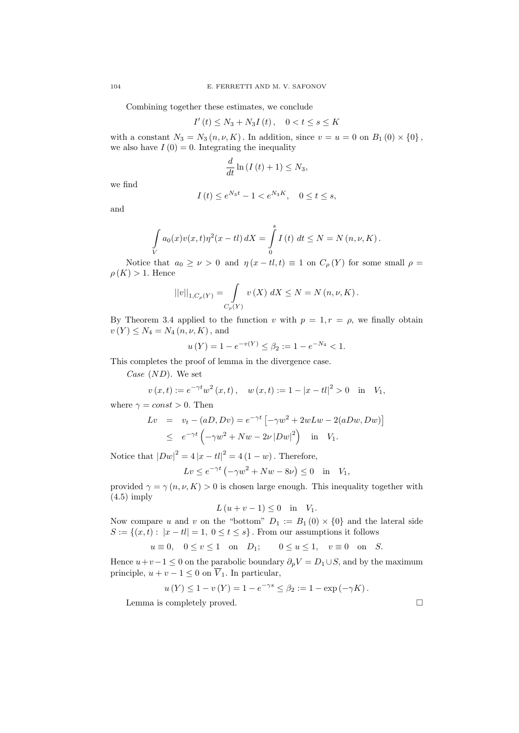Combining together these estimates, we conclude

$$
I'(t) \le N_3 + N_3 I(t), \quad 0 < t \le s \le K
$$

with a constant  $N_3 = N_3(n, \nu, K)$ . In addition, since  $v = u = 0$  on  $B_1(0) \times \{0\}$ , we also have  $I(0) = 0$ . Integrating the inequality

$$
\frac{d}{dt}\ln\left(I\left(t\right)+1\right)\leq N_3,
$$

we find

$$
I(t) \le e^{N_3 t} - 1 < e^{N_3 K}, \quad 0 \le t \le s,
$$

and

$$
\int\limits_V a_0(x)v(x,t)\eta^2(x - tl) dX = \int\limits_0^s I(t) dt \le N = N(n, \nu, K).
$$

Notice that  $a_0 \ge \nu > 0$  and  $\eta(x - t, t) \equiv 1$  on  $C_\rho(Y)$  for some small  $\rho =$  $\rho(K) > 1$ . Hence

$$
||v||_{1,C_{\rho}(Y)} = \int_{C_{\rho}(Y)} v(X) \, dX \le N = N(n, \nu, K).
$$

By Theorem 3.4 applied to the function v with  $p = 1, r = \rho$ , we finally obtain  $v(Y) \leq N_4 = N_4(n, \nu, K)$ , and

$$
u(Y) = 1 - e^{-v(Y)} \le \beta_2 := 1 - e^{-N_4} < 1.
$$

This completes the proof of lemma in the divergence case.

Case  $(ND)$ . We set

$$
v(x,t) := e^{-\gamma t} w^2(x,t), \quad w(x,t) := 1 - |x - t|^2 > 0 \quad \text{in} \quad V_1,
$$

where  $\gamma = const > 0$ . Then

$$
Lv = v_t - (aD, Dv) = e^{-\gamma t} \left[ -\gamma w^2 + 2wLw - 2(aDw, Dw) \right]
$$
  
 
$$
\leq e^{-\gamma t} \left( -\gamma w^2 + Nw - 2\nu |Dw|^2 \right) \text{ in } V_1.
$$

Notice that  $|Dw|^2 = 4|x - tl|^2 = 4(1 - w)$ . Therefore,

$$
Lv \le e^{-\gamma t} \left(-\gamma w^2 + Nw - 8\nu\right) \le 0 \quad \text{in} \quad V_1,
$$

provided  $\gamma = \gamma(n, \nu, K) > 0$  is chosen large enough. This inequality together with  $(4.5)$  imply

$$
L(u+v-1) \le 0 \quad \text{in} \quad V_1.
$$

Now compare u and v on the "bottom"  $D_1 := B_1(0) \times \{0\}$  and the lateral side  $S := \{(x, t): |x - tl| = 1, 0 \le t \le s\}$ . From our assumptions it follows

$$
u\equiv 0,\quad 0\leq v\leq 1\quad\text{on}\quad D_1;\qquad 0\leq u\leq 1,\quad v\equiv 0\quad\text{on}\quad S.
$$

Hence  $u+v-1 \leq 0$  on the parabolic boundary  $\partial_p V = D_1 \cup S$ , and by the maximum principle,  $u + v - 1 \leq 0$  on  $\overline{V}_1$ . In particular,

$$
u(Y) \le 1 - v(Y) = 1 - e^{-\gamma s} \le \beta_2 := 1 - \exp(-\gamma K).
$$

Lemma is completely proved.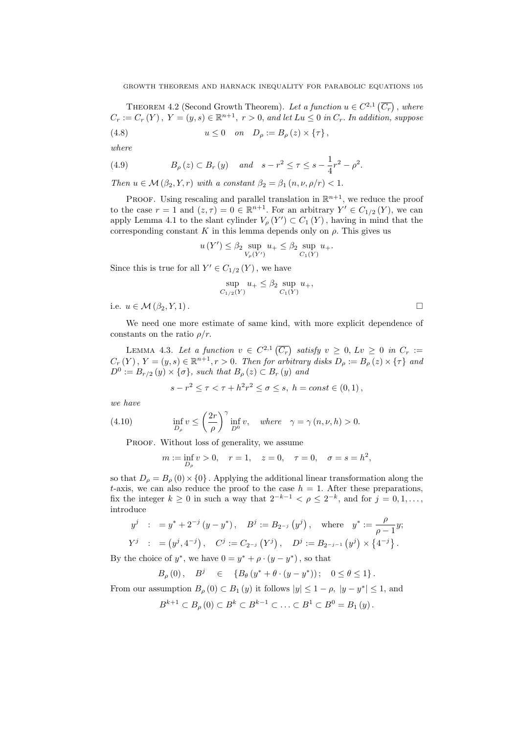THEOREM 4.2 (Second Growth Theorem). Let a function  $u \in C^{2,1}(\overline{C_r})$ , where  $C_r := C_r(Y)$ ,  $Y = (y, s) \in \mathbb{R}^{n+1}$ ,  $r > 0$ , and let  $Lu \leq 0$  in  $C_r$ . In addition, suppose (4.8)  $u \le 0$  on  $D_{\rho} := B_{\rho}(z) \times {\tau}$ ,

$$
\overline{\phantom{a}}
$$

$$
where
$$

(4.9) 
$$
B_{\rho}(z) \subset B_{r}(y) \quad and \quad s - r^{2} \leq \tau \leq s - \frac{1}{4}r^{2} - \rho^{2}.
$$

Then  $u \in \mathcal{M}(\beta_2, Y, r)$  with a constant  $\beta_2 = \beta_1(n, \nu, \rho/r) < 1$ .

PROOF. Using rescaling and parallel translation in  $\mathbb{R}^{n+1}$ , we reduce the proof to the case  $r = 1$  and  $(z, \tau) = 0 \in \mathbb{R}^{n+1}$ . For an arbitrary  $Y' \in C_{1/2}(Y)$ , we can apply Lemma 4.1 to the slant cylinder  $V_{\rho}(Y') \subset C_1(Y)$ , having in mind that the corresponding constant K in this lemma depends only on  $\rho$ . This gives us

$$
u(Y') \leq \beta_2 \sup_{V_{\rho}(Y')} u_+ \leq \beta_2 \sup_{C_1(Y)} u_+.
$$

Since this is true for all  $Y' \in C_{1/2}(Y)$ , we have

$$
\sup_{C_{1/2}(Y)} u_+ \le \beta_2 \sup_{C_1(Y)} u_+,
$$

i.e.  $u \in \mathcal{M}(\beta_2, Y, 1)$ .

We need one more estimate of same kind, with more explicit dependence of constants on the ratio  $\rho/r$ .

LEMMA 4.3. Let a function  $v \in C^{2,1}(\overline{C_r})$  satisfy  $v \geq 0$ ,  $Lv \geq 0$  in  $C_r :=$  $C_r(Y)$ ,  $Y = (y, s) \in \mathbb{R}^{n+1}, r > 0$ . Then for arbitrary disks  $D_\rho := B_\rho(z) \times {\tau}$  and  $D^0 := B_{r/2}(y) \times {\{\sigma\}},$  such that  $B_{\rho}(z) \subset B_r(y)$  and

$$
s - r^2 \le \tau < \tau + h^2 r^2 \le \sigma \le s, \ h = const \in (0, 1),
$$

we have

(4.10) 
$$
\inf_{D_{\rho}} v \le \left(\frac{2r}{\rho}\right)^{\gamma} \inf_{D^0} v, \text{ where } \gamma = \gamma (n, \nu, h) > 0.
$$

PROOF. Without loss of generality, we assume

$$
m := \inf_{D_{\rho}} v > 0
$$
,  $r = 1$ ,  $z = 0$ ,  $\tau = 0$ ,  $\sigma = s = h^2$ ,

so that  $D_{\rho} = B_{\rho}(0) \times \{0\}$ . Applying the additional linear transformation along the t-axis, we can also reduce the proof to the case  $h = 1$ . After these preparations, fix the integer  $k \geq 0$  in such a way that  $2^{-k-1} < \rho \leq 2^{-k}$ , and for  $j = 0, 1, \ldots$ , introduce

$$
y^{j} : = y^{*} + 2^{-j} (y - y^{*}), \quad B^{j} := B_{2^{-j}} (y^{j}), \quad \text{where} \quad y^{*} := \frac{\rho}{\rho - 1} y;
$$
  

$$
Y^{j} : = (y^{j}, 4^{-j}), \quad C^{j} := C_{2^{-j}} (Y^{j}), \quad D^{j} := B_{2^{-j-1}} (y^{j}) \times \{4^{-j}\}.
$$

By the choice of  $y^*$ , we have  $0 = y^* + \rho \cdot (y - y^*)$ , so that

$$
B_{\rho}(0), \quad B^{j} \quad \in \quad \{B_{\theta}(y^* + \theta \cdot (y - y^*)); \quad 0 \le \theta \le 1\}.
$$

From our assumption  $B_{\rho}(0) \subset B_1(y)$  it follows  $|y| \leq 1 - \rho$ ,  $|y - y^*| \leq 1$ , and

$$
B^{k+1} \subset B_{\rho}(0) \subset B^{k} \subset B^{k-1} \subset \ldots \subset B^{1} \subset B^{0} = B_{1}(y).
$$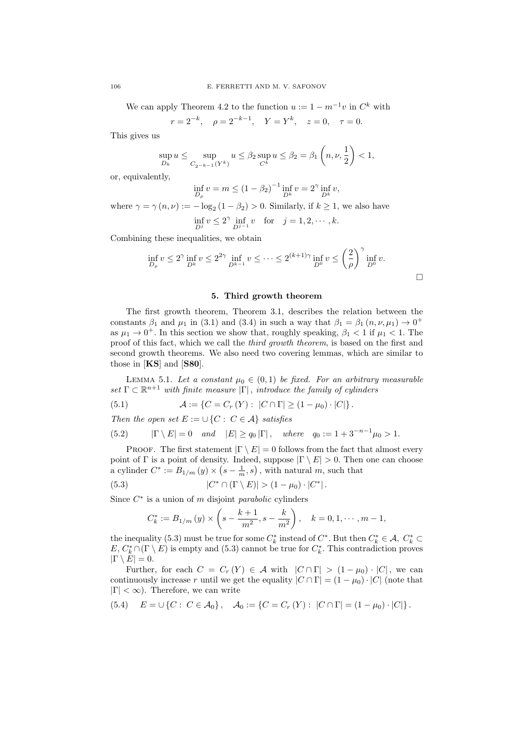We can apply Theorem 4.2 to the function  $u := 1 - m^{-1}v$  in  $C^k$  with

 $r = 2^{-k}, \quad \rho = 2^{-k-1}, \quad Y = Y^k, \quad z = 0, \quad \tau = 0.$ 

This gives us

$$
\sup_{D_k} u \le \sup_{C_{2^{-k-1}}(Y^k)} u \le \beta_2 \sup_{C^k} u \le \beta_2 = \beta_1 \left( n, \nu, \frac{1}{2} \right) < 1,
$$

or, equivalently,

$$
\inf_{D_{\rho}} v = m \le (1 - \beta_2)^{-1} \inf_{D^k} v = 2^{\gamma} \inf_{D^k} v,
$$

where  $\gamma = \gamma(n,\nu) := -\log_2(1-\beta_2) > 0$ . Similarly, if  $k \ge 1$ , we also have  $\inf_{D^j} v \le 2^{\gamma} \inf_{D^{j-1}} v \text{ for } j = 1, 2, \cdots, k.$ 

Combining these inequalities, we obtain

$$
\inf_{D_{\rho}} v \le 2^{\gamma} \inf_{D^k} v \le 2^{2\gamma} \inf_{D^{k-1}} v \le \dots \le 2^{(k+1)\gamma} \inf_{D^0} v \le \left(\frac{2}{\rho}\right)^{\gamma} \inf_{D^0} v.
$$

 $\Box$ 

### 5. Third growth theorem

The first growth theorem, Theorem 3.1, describes the relation between the constants  $\beta_1$  and  $\mu_1$  in (3.1) and (3.4) in such a way that  $\beta_1 = \beta_1 (n, \nu, \mu_1) \rightarrow 0^+$ as  $\mu_1 \to 0^+$ . In this section we show that, roughly speaking,  $\beta_1 < 1$  if  $\mu_1 < 1$ . The proof of this fact, which we call the third growth theorem, is based on the first and second growth theorems. We also need two covering lemmas, which are similar to those in [KS] and [S80].

LEMMA 5.1. Let a constant  $\mu_0 \in (0,1)$  be fixed. For an arbitrary measurable set  $\Gamma \subset \mathbb{R}^{n+1}$  with finite measure  $|\Gamma|$ , introduce the family of cylinders

(5.1) 
$$
\mathcal{A} := \{ C = C_r(Y) : |C \cap \Gamma| \ge (1 - \mu_0) \cdot |C| \}.
$$

Then the open set  $E := \cup \{C : C \in \mathcal{A}\}\$  satisfies

(5.2) 
$$
|\Gamma \setminus E| = 0
$$
 and  $|E| \ge q_0 |\Gamma|$ , where  $q_0 := 1 + 3^{-n-1} \mu_0 > 1$ .

PROOF. The first statement  $|\Gamma \setminus E| = 0$  follows from the fact that almost every point of Γ is a point of density. Indeed, suppose  $|\Gamma \setminus E| > 0$ . Then one can choose a cylinder  $C^* := B_{1/m} (y) \times (s - \frac{1}{m}, s)$ , with natural m, such that

(5.3) 
$$
|C^* \cap (\Gamma \setminus E)| > (1 - \mu_0) \cdot |C^*|.
$$

Since  $C^*$  is a union of m disjoint parabolic cylinders

$$
C_k^* := B_{1/m} (y) \times \left( s - \frac{k+1}{m^2}, s - \frac{k}{m^2} \right), \quad k = 0, 1, \cdots, m-1,
$$

the inequality (5.3) must be true for some  $C_k^*$  instead of  $C^*$ . But then  $C_k^* \in \mathcal{A}$ ,  $C_k^* \subset$  $E, C^*_k \cap (\Gamma \setminus E)$  is empty and (5.3) cannot be true for  $C^*_k$ . This contradiction proves  $|\Gamma \setminus E| = 0.$ 

Further, for each  $C = C_r(Y) \in \mathcal{A}$  with  $|C \cap \Gamma| > (1 - \mu_0) \cdot |C|$ , we can continuously increase r until we get the equality  $|C \cap \Gamma| = (1 - \mu_0) \cdot |C|$  (note that  $|\Gamma| < \infty$ ). Therefore, we can write

$$
(5.4) \quad E = \cup \{C : C \in \mathcal{A}_0\}, \quad \mathcal{A}_0 := \{C = C_r(Y) : |C \cap \Gamma| = (1 - \mu_0) \cdot |C|\}.
$$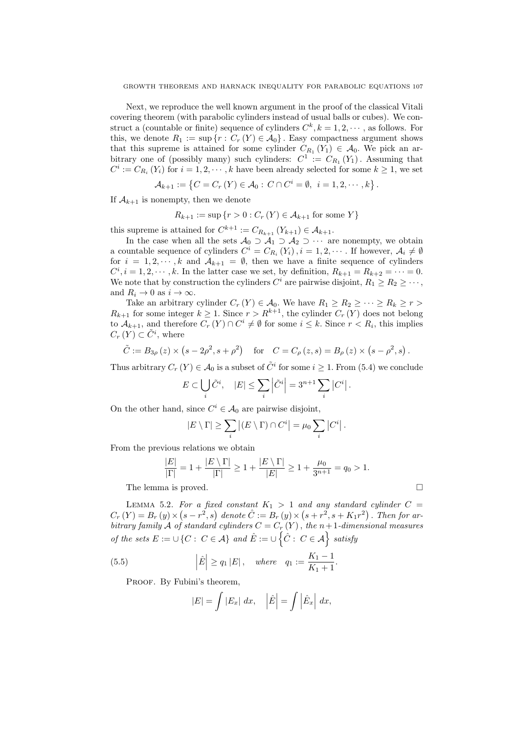Next, we reproduce the well known argument in the proof of the classical Vitali covering theorem (with parabolic cylinders instead of usual balls or cubes). We construct a (countable or finite) sequence of cylinders  $C^k, k = 1, 2, \dots$ , as follows. For this, we denote  $R_1 := \sup \{r : C_r(Y) \in \mathcal{A}_0\}$ . Easy compactness argument shows that this supreme is attained for some cylinder  $C_{R_1}(Y_1) \in \mathcal{A}_0$ . We pick an arbitrary one of (possibly many) such cylinders:  $C^1 := C_{R_1}(Y_1)$ . Assuming that  $C^i := C_{R_i}(Y_i)$  for  $i = 1, 2, \dots, k$  have been already selected for some  $k \geq 1$ , we set

$$
\mathcal{A}_{k+1} := \left\{ C = C_r(Y) \in \mathcal{A}_0 : C \cap C^i = \emptyset, \ i = 1, 2, \cdots, k \right\}.
$$

If  $A_{k+1}$  is nonempty, then we denote

$$
R_{k+1} := \sup \{ r > 0 : C_r(Y) \in \mathcal{A}_{k+1} \text{ for some } Y \}
$$

this supreme is attained for  $C^{k+1} := C_{R_{k+1}}(Y_{k+1}) \in \mathcal{A}_{k+1}$ .

In the case when all the sets  $\mathcal{A}_0 \supset \mathcal{A}_1 \supset \mathcal{A}_2 \supset \cdots$  are nonempty, we obtain a countable sequence of cylinders  $C^i = C_{R_i}(Y_i)$ ,  $i = 1, 2, \cdots$ . If however,  $\mathcal{A}_i \neq \emptyset$ for  $i = 1, 2, \dots, k$  and  $A_{k+1} = \emptyset$ , then we have a finite sequence of cylinders  $C^i, i = 1, 2, \dots, k$ . In the latter case we set, by definition,  $R_{k+1} = R_{k+2} = \dots = 0$ . We note that by construction the cylinders  $C^i$  are pairwise disjoint,  $R_1 \geq R_2 \geq \cdots$ , and  $R_i \to 0$  as  $i \to \infty$ .

Take an arbitrary cylinder  $C_r(Y) \in \mathcal{A}_0$ . We have  $R_1 \geq R_2 \geq \cdots \geq R_k \geq r$  $R_{k+1}$  for some integer  $k \geq 1$ . Since  $r > R^{k+1}$ , the cylinder  $C_r(Y)$  does not belong to  $\mathcal{A}_{k+1}$ , and therefore  $C_r(Y) \cap C^i \neq \emptyset$  for some  $i \leq k$ . Since  $r < R_i$ , this implies  $C_r(Y) \subset \tilde{C}^i$ , where

$$
\tilde{C} := B_{3\rho}(z) \times (s - 2\rho^2, s + \rho^2)
$$
 for  $C = C_{\rho}(z, s) = B_{\rho}(z) \times (s - \rho^2, s)$ .

Thus arbitrary  $C_r(Y) \in \mathcal{A}_0$  is a subset of  $\tilde{C}^i$  for some  $i \geq 1$ . From (5.4) we conclude

$$
E\subset \bigcup_i \tilde{C}^i, \quad |E|\leq \sum_i \left|\tilde{C}^i\right|=3^{n+1}\sum_i \left|C^i\right|.
$$

On the other hand, since  $C^i \in \mathcal{A}_0$  are pairwise disjoint,

$$
|E \setminus \Gamma| \geq \sum_{i} |(E \setminus \Gamma) \cap C^{i}| = \mu_0 \sum_{i} |C^{i}|.
$$

From the previous relations we obtain

$$
\frac{|E|}{|\Gamma|} = 1 + \frac{|E \setminus \Gamma|}{|\Gamma|} \ge 1 + \frac{|E \setminus \Gamma|}{|E|} \ge 1 + \frac{\mu_0}{3^{n+1}} = q_0 > 1.
$$
  
The lemma is proved.

LEMMA 5.2. For a fixed constant  $K_1 > 1$  and any standard cylinder  $C =$  $C_r(Y) = B_r(y) \times (s - r^2, s)$  denote  $\hat{C} := B_r(y) \times (s + r^2, s + K_1 r^2)$ . Then for arbitrary family A of standard cylinders  $C = C_r(Y)$ , the n+1-dimensional measures of the sets  $E := \cup \{C : C \in \mathcal{A}\}$  and  $\hat{E} := \cup \{\hat{C} : C \in \mathcal{A}\}$  satisfy

(5.5) 
$$
|\hat{E}| \ge q_1 |E|
$$
, where  $q_1 := \frac{K_1 - 1}{K_1 + 1}$ .

PROOF. By Fubini's theorem,

$$
|E| = \int |E_x| dx, \quad |\hat{E}| = \int |\hat{E}_x| dx,
$$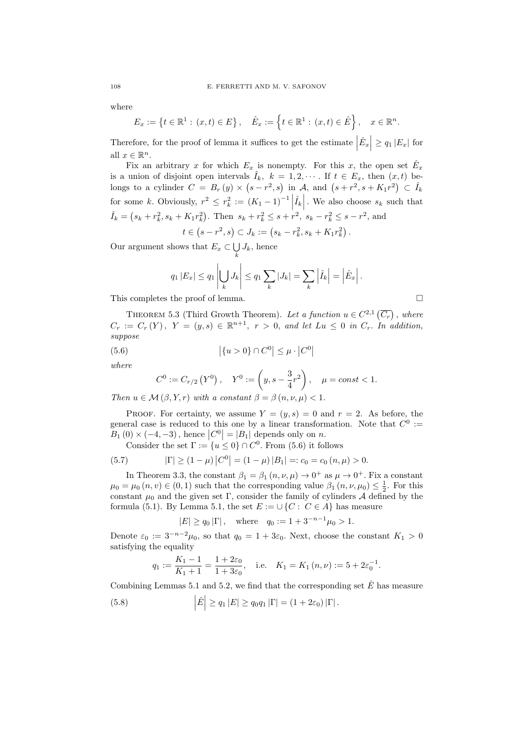where

$$
E_x := \left\{ t \in \mathbb{R}^1 : (x, t) \in E \right\}, \quad \hat{E}_x := \left\{ t \in \mathbb{R}^1 : (x, t) \in \hat{E} \right\}, \quad x \in \mathbb{R}^n.
$$

Therefore, for the proof of lemma it suffices to get the estimate  $|\hat{E}_x| \ge q_1 |E_x|$  for all  $x \in \mathbb{R}^n$ .

Fix an arbitrary x for which  $E_x$  is nonempty. For this x, the open set  $\hat{E}_x$ is a union of disjoint open intervals  $\hat{I}_k$ ,  $k = 1, 2, \cdots$ . If  $t \in E_x$ , then  $(x, t)$  belongs to a cylinder  $C = B_r(y) \times (s - r^2, s)$  in A, and  $(s + r^2, s + K_1 r^2) \subset \hat{I}_k$ for some k. Obviously,  $r^2 \leq r_k^2 := (K_1 - 1)^{-1} \left| \hat{I}_k \right|$ . We also choose  $s_k$  such that  $\hat{I}_k = (s_k + r_k^2, s_k + K_1 r_k^2)$ . Then  $s_k + r_k^2 \leq s + r^2$ ,  $s_k - r_k^2 \leq s - r^2$ , and

$$
t \in (s - r^2, s) \subset J_k := (s_k - r_k^2, s_k + K_1 r_k^2).
$$

Our argument shows that  $E_x \subset \bigcup$  $\bigcup_k J_k$ , hence

$$
q_1 |E_x| \le q_1 \left| \bigcup_k J_k \right| \le q_1 \sum_k |J_k| = \sum_k \left| \hat{I}_k \right| = \left| \hat{E}_x \right|.
$$

This completes the proof of lemma.

THEOREM 5.3 (Third Growth Theorem). Let a function  $u \in C^{2,1}(\overline{C_r})$ , where  $C_r := C_r(Y)$ ,  $Y = (y, s) \in \mathbb{R}^{n+1}$ ,  $r > 0$ , and let  $Lu \leq 0$  in  $C_r$ . In addition, suppose

(5.6) 
$$
|\{u > 0\} \cap C^0| \le \mu \cdot |C^0|
$$

where

$$
C^0 := C_{r/2}(Y^0), \quad Y^0 := \left(y, s - \frac{3}{4}r^2\right), \quad \mu = const < 1.
$$

Then  $u \in \mathcal{M}(\beta, Y, r)$  with a constant  $\beta = \beta(n, \nu, \mu) < 1$ .

PROOF. For certainty, we assume  $Y = (y, s) = 0$  and  $r = 2$ . As before, the general case is reduced to this one by a linear transformation. Note that  $C^0 :=$  $B_1(0) \times (-4, -3)$ , hence  $|C^0| = |B_1|$  depends only on n.

Consider the set  $\Gamma := \{u \leq 0\} \cap C^0$ . From (5.6) it follows

(5.7) 
$$
|\Gamma| \ge (1 - \mu) |C^0| = (1 - \mu) |B_1| =: c_0 = c_0 (n, \mu) > 0.
$$

In Theorem 3.3, the constant  $\beta_1 = \beta_1 (n, \nu, \mu) \rightarrow 0^+$  as  $\mu \rightarrow 0^+$ . Fix a constant  $\mu_0 = \mu_0(n, v) \in (0, 1)$  such that the corresponding value  $\beta_1(n, \nu, \mu_0) \leq \frac{1}{2}$ . For this constant  $\mu_0$  and the given set Γ, consider the family of cylinders A defined by the formula (5.1). By Lemma 5.1, the set  $E := \bigcup \{C : C \in A\}$  has measure

 $|E| \ge q_0 |\Gamma|$ , where  $q_0 := 1 + 3^{-n-1} \mu_0 > 1$ .

Denote  $\varepsilon_0 := 3^{-n-2}\mu_0$ , so that  $q_0 = 1 + 3\varepsilon_0$ . Next, choose the constant  $K_1 > 0$ satisfying the equality

$$
q_1 := \frac{K_1 - 1}{K_1 + 1} = \frac{1 + 2\varepsilon_0}{1 + 3\varepsilon_0}
$$
, i.e.  $K_1 = K_1(n, \nu) := 5 + 2\varepsilon_0^{-1}$ .

Combining Lemmas 5.1 and 5.2, we find that the corresponding set  $\hat{E}$  has measure

(5.8) 
$$
\left| \hat{E} \right| \ge q_1 \left| E \right| \ge q_0 q_1 \left| \Gamma \right| = (1 + 2\varepsilon_0) \left| \Gamma \right|.
$$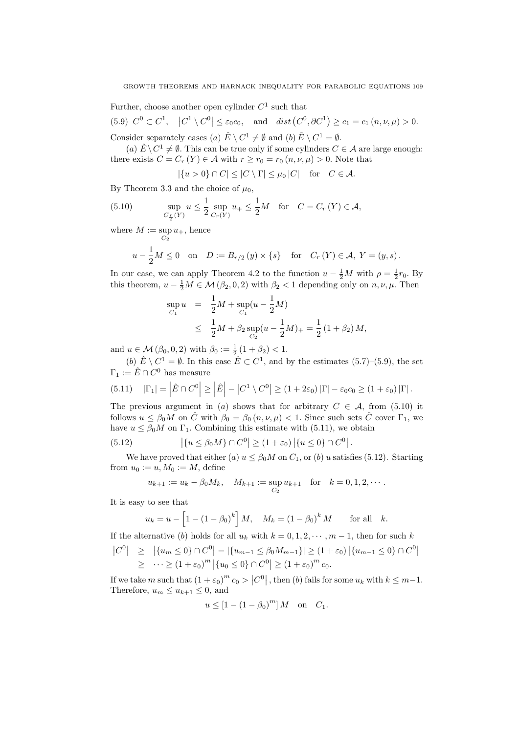Further, choose another open cylinder  $C^1$  such that

(5.9)  $C^0 \subset C^1$ ,  $|C^1 \setminus C^0| \leq \varepsilon_0 c_0$ , and  $dist(C^0, \partial C^1) \geq c_1 = c_1 (n, \nu, \mu) > 0$ . Consider separately cases (a)  $\hat{E} \setminus C^1 \neq \emptyset$  and  $(b) \hat{E} \setminus C^1 = \emptyset$ .

(a)  $\hat{E} \setminus C^1 \neq \emptyset$ . This can be true only if some cylinders  $C \in \mathcal{A}$  are large enough: there exists  $C = C_r(Y) \in \mathcal{A}$  with  $r \ge r_0 = r_0(n, \nu, \mu) > 0$ . Note that

$$
|\{u>0\}\cap C|\leq |C\setminus \Gamma|\leq \mu_0\,|C| \quad \text{for} \quad C\in \mathcal{A}.
$$

By Theorem 3.3 and the choice of  $\mu_0$ ,

(5.10) 
$$
\sup_{C_{\frac{r}{2}}(Y)} u \le \frac{1}{2} \sup_{C_r(Y)} u_+ \le \frac{1}{2} M \text{ for } C = C_r(Y) \in \mathcal{A},
$$

where  $M := \sup$  $\sup_{C_2} u_+$ , hence

$$
u-\frac{1}{2}M\leq 0\quad\text{on}\quad D:=B_{r/2}\left(y\right)\times\left\{s\right\}\quad\text{for}\quad C_{r}\left(Y\right)\in\mathcal{A},\;Y=\left(y,s\right).
$$

In our case, we can apply Theorem 4.2 to the function  $u - \frac{1}{2}M$  with  $\rho = \frac{1}{2}r_0$ . By this theorem,  $u - \frac{1}{2}M \in \mathcal{M}(\beta_2, 0, 2)$  with  $\beta_2 < 1$  depending only on  $n, \nu, \mu$ . Then

$$
\sup_{C_1} u = \frac{1}{2} M + \sup_{C_1} (u - \frac{1}{2} M)
$$
  
\n
$$
\leq \frac{1}{2} M + \beta_2 \sup_{C_2} (u - \frac{1}{2} M)_+ = \frac{1}{2} (1 + \beta_2) M,
$$

and  $u \in \mathcal{M}(\beta_0, 0, 2)$  with  $\beta_0 := \frac{1}{2}(1 + \beta_2) < 1$ .

(b)  $\hat{E} \setminus C^1 = \emptyset$ . In this case  $\hat{E} \subset C^1$ , and by the estimates (5.7)–(5.9), the set  $\Gamma_1 := \hat{E} \cap C^0$  has measure

(5.11) 
$$
|\Gamma_1| = |\hat{E} \cap C^0| \ge |\hat{E}| - |C^1 \setminus C^0| \ge (1 + 2\varepsilon_0) |\Gamma| - \varepsilon_0 c_0 \ge (1 + \varepsilon_0) |\Gamma|.
$$

The previous argument in (a) shows that for arbitrary  $C \in \mathcal{A}$ , from (5.10) it follows  $u \leq \beta_0 M$  on  $\hat{C}$  with  $\beta_0 = \beta_0 (n, \nu, \mu) < 1$ . Since such sets  $\hat{C}$  cover  $\Gamma_1$ , we have  $u \leq \beta_0 M$  on  $\Gamma_1$ . Combining this estimate with (5.11), we obtain

(5.12) 
$$
|\{u \le \beta_0 M\} \cap C^0| \ge (1 + \varepsilon_0) |\{u \le 0\} \cap C^0|.
$$

We have proved that either (a)  $u \leq \beta_0 M$  on  $C_1$ , or (b) u satisfies (5.12). Starting from  $u_0 := u, M_0 := M$ , define

$$
u_{k+1} := u_k - \beta_0 M_k, \quad M_{k+1} := \sup_{C_2} u_{k+1} \quad \text{for} \quad k = 0, 1, 2, \cdots.
$$

It is easy to see that

$$
u_k = u - [1 - (1 - \beta_0)^k] M
$$
,  $M_k = (1 - \beta_0)^k M$  for all k.

If the alternative (b) holds for all  $u_k$  with  $k = 0, 1, 2, \dots, m-1$ , then for such k

$$
\begin{aligned} \left| C^{0} \right| &\geq \left| \{ u_{m} \leq 0 \} \cap C^{0} \right| = \left| \{ u_{m-1} \leq \beta_{0} M_{m-1} \} \right| \geq (1 + \varepsilon_{0}) \left| \{ u_{m-1} \leq 0 \} \cap C^{0} \right| \\ &\geq \left| \cdots \geq (1 + \varepsilon_{0})^{m} \left| \{ u_{0} \leq 0 \} \cap C^{0} \right| \geq (1 + \varepsilon_{0})^{m} c_{0} .\end{aligned}
$$

If we take m such that  $(1+\varepsilon_0)^m c_0 > |C^0|$ , then (b) fails for some  $u_k$  with  $k \leq m-1$ . Therefore,  $u_m \leq u_{k+1} \leq 0$ , and

$$
u \le [1 - (1 - \beta_0)^m] M \quad \text{on} \quad C_1.
$$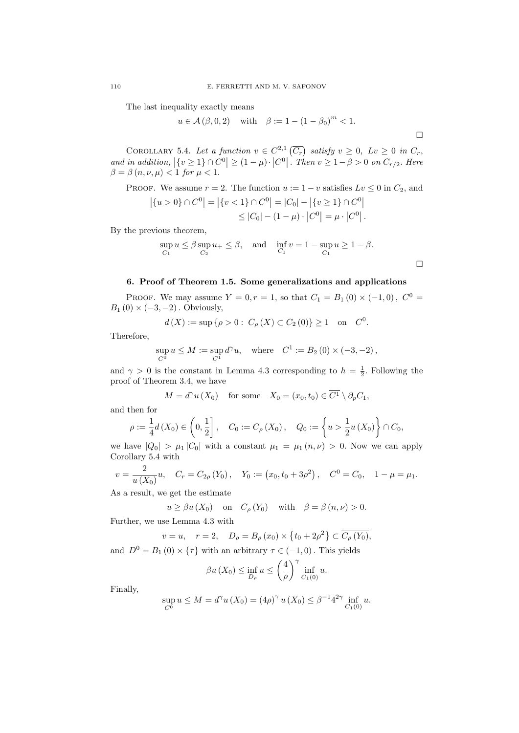The last inequality exactly means

$$
u \in \mathcal{A}(\beta, 0, 2)
$$
 with  $\beta := 1 - (1 - \beta_0)^m < 1$ .

 $\Box$ 

 $\Box$ 

COROLLARY 5.4. Let a function  $v \in C^{2,1}(\overline{C_r})$  satisfy  $v \geq 0$ ,  $Lv \geq 0$  in  $C_r$ , and in addition,  $|\{v \geq 1\} \cap C^0| \geq (1 - \mu) \cdot |C^0|$ . Then  $v \geq 1 - \beta > 0$  on  $C_{r/2}$ . Here  $\beta = \beta(n, \nu, \mu) < 1$  for  $\mu < 1$ .

PROOF. We assume  $r = 2$ . The function  $u := 1 - v$  satisfies  $Lv \leq 0$  in  $C_2$ , and  $|\{u > 0\} \cap C^0| = |\{v < 1\} \cap C^0| = |C_0| - |\{v \ge 1\} \cap C^0|$ 

$$
\leq |C_0| - (1 - \mu) \cdot |C^0| = \mu \cdot |C^0|.
$$

By the previous theorem,

$$
\sup_{C_1} u \le \beta \sup_{C_2} u_+ \le \beta, \quad \text{and} \quad \inf_{C_1} v = 1 - \sup_{C_1} u \ge 1 - \beta.
$$

## 6. Proof of Theorem 1.5. Some generalizations and applications

PROOF. We may assume  $Y = 0, r = 1$ , so that  $C_1 = B_1 (0) \times (-1, 0)$ ,  $C^0 =$  $B_1(0) \times (-3, -2)$ . Obviously,

$$
d(X) := \sup \{ \rho > 0 : C_{\rho}(X) \subset C_2(0) \} \ge 1
$$
 on  $C^0$ .

Therefore,

$$
\sup_{C^0} u \le M := \sup_{C^1} d^{\gamma} u
$$
, where  $C^1 := B_2(0) \times (-3, -2)$ ,

and  $\gamma > 0$  is the constant in Lemma 4.3 corresponding to  $h = \frac{1}{2}$ . Following the proof of Theorem 3.4, we have

$$
M = d^{\gamma} u(X_0)
$$
 for some  $X_0 = (x_0, t_0) \in \overline{C^1} \setminus \partial_p C_1$ ,

and then for

$$
\rho := \frac{1}{4}d(X_0) \in \left(0, \frac{1}{2}\right], \quad C_0 := C_{\rho}(X_0), \quad Q_0 := \left\{u > \frac{1}{2}u(X_0)\right\} \cap C_0,
$$

we have  $|Q_0| > \mu_1 |C_0|$  with a constant  $\mu_1 = \mu_1 (n, \nu) > 0$ . Now we can apply Corollary 5.4 with

$$
v = \frac{2}{u(X_0)}u
$$
,  $C_r = C_{2\rho}(Y_0)$ ,  $Y_0 := (x_0, t_0 + 3\rho^2)$ ,  $C^0 = C_0$ ,  $1 - \mu = \mu_1$ .

As a result, we get the estimate

$$
u \ge \beta u(X_0)
$$
 on  $C_\rho(Y_0)$  with  $\beta = \beta(n, \nu) > 0$ .

Further, we use Lemma 4.3 with

$$
v = u, \quad r = 2, \quad D_{\rho} = B_{\rho}(x_0) \times \{t_0 + 2\rho^2\} \subset \overline{C_{\rho}(Y_0)},
$$

and  $D^0 = B_1(0) \times {\tau}$  with an arbitrary  $\tau \in (-1,0)$ . This yields

$$
\beta u\left(X_0\right) \le \inf_{D_\rho} u \le \left(\frac{4}{\rho}\right)^\gamma \inf_{C_1(0)} u.
$$

Finally,

$$
\sup_{C^0} u \le M = d^{\gamma} u(X_0) = (4\rho)^{\gamma} u(X_0) \le \beta^{-1} 4^{2\gamma} \inf_{C_1(0)} u.
$$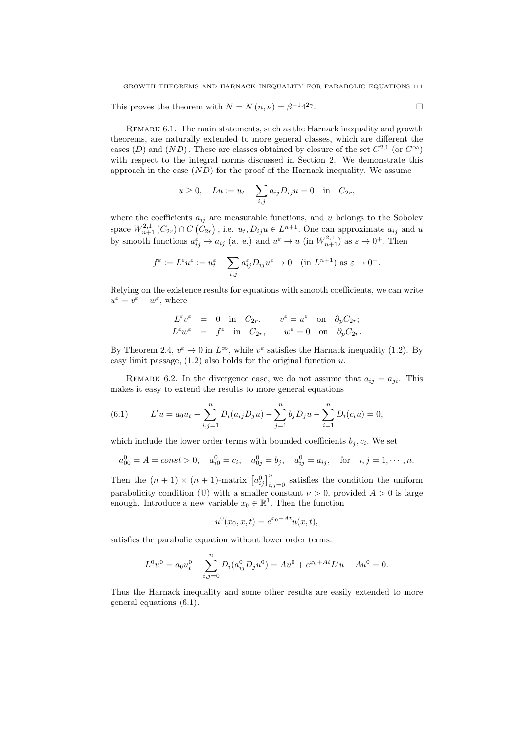This proves the theorem with  $N = N(n, \nu) = \beta^{-1} 4^{2\gamma}$ .

Remark 6.1. The main statements, such as the Harnack inequality and growth theorems, are naturally extended to more general classes, which are different the cases (D) and  $(ND)$ . These are classes obtained by closure of the set  $C^{2,1}$  (or  $C^{\infty}$ ) with respect to the integral norms discussed in Section 2. We demonstrate this approach in the case  $(ND)$  for the proof of the Harnack inequality. We assume

$$
u \ge 0
$$
,  $Lu := u_t - \sum_{i,j} a_{ij} D_{ij} u = 0$  in  $C_{2r}$ ,

where the coefficients  $a_{ij}$  are measurable functions, and u belongs to the Sobolev space  $W_{n+1}^{2,1}(C_{2r}) \cap C(\overline{C_{2r}})$ , i.e.  $u_t, D_{ij}u \in L^{n+1}$ . One can approximate  $a_{ij}$  and u by smooth functions  $a_{ij}^{\varepsilon} \to a_{ij}$  (a. e.) and  $u^{\varepsilon} \to u$  (in  $W_{n+1}^{2,1}$ ) as  $\varepsilon \to 0^+$ . Then

$$
f^{\varepsilon} := L^{\varepsilon} u^{\varepsilon} := u_t^{\varepsilon} - \sum_{i,j} a_{ij}^{\varepsilon} D_{ij} u^{\varepsilon} \to 0 \quad (\text{in } L^{n+1}) \text{ as } \varepsilon \to 0^+.
$$

Relying on the existence results for equations with smooth coefficients, we can write  $u^{\varepsilon} = v^{\varepsilon} + w^{\varepsilon}$ , where

$$
L^{\varepsilon}v^{\varepsilon} = 0 \text{ in } C_{2r}, \quad v^{\varepsilon} = u^{\varepsilon} \text{ on } \partial_{p}C_{2r};
$$
  

$$
L^{\varepsilon}w^{\varepsilon} = f^{\varepsilon} \text{ in } C_{2r}, \quad w^{\varepsilon} = 0 \text{ on } \partial_{p}C_{2r}.
$$

By Theorem 2.4,  $v^{\varepsilon} \to 0$  in  $L^{\infty}$ , while  $v^{\varepsilon}$  satisfies the Harnack inequality (1.2). By easy limit passage,  $(1.2)$  also holds for the original function u.

REMARK 6.2. In the divergence case, we do not assume that  $a_{ij} = a_{ji}$ . This makes it easy to extend the results to more general equations

(6.1) 
$$
L'u = a_0u_t - \sum_{i,j=1}^n D_i(a_{ij}D_ju) - \sum_{j=1}^n b_jD_ju - \sum_{i=1}^n D_i(c_iu) = 0,
$$

which include the lower order terms with bounded coefficients  $b_j, c_i$ . We set

$$
a_{00}^0 = A = const > 0
$$
,  $a_{i0}^0 = c_i$ ,  $a_{0j}^0 = b_j$ ,  $a_{ij}^0 = a_{ij}$ , for  $i, j = 1, \dots, n$ .

Then the  $(n + 1) \times (n + 1)$ -matrix  $[a_{ij}^0]_{i,j=0}^n$  satisfies the condition the uniform parabolicity condition (U) with a smaller constant  $\nu > 0$ , provided  $A > 0$  is large enough. Introduce a new variable  $x_0 \in \mathbb{R}^1$ . Then the function

$$
u^{0}(x_{0}, x, t) = e^{x_{0} + At} u(x, t),
$$

satisfies the parabolic equation without lower order terms:

$$
L^0 u^0 = a_0 u_t^0 - \sum_{i,j=0}^n D_i (a_{ij}^0 D_j u^0) = A u^0 + e^{x_0 + At} L' u - A u^0 = 0.
$$

Thus the Harnack inequality and some other results are easily extended to more general equations (6.1).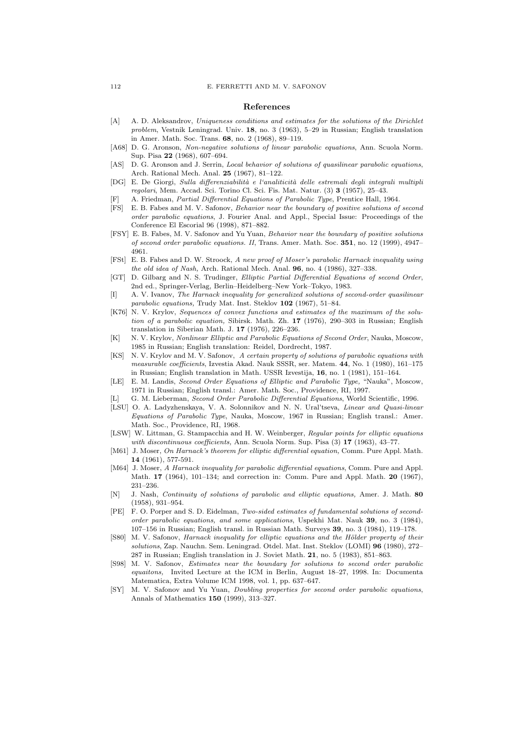#### References

- [A] A. D. Aleksandrov, Uniqueness conditions and estimates for the solutions of the Dirichlet problem, Vestnik Leningrad. Univ. 18, no. 3 (1963), 5–29 in Russian; English translation in Amer. Math. Soc. Trans. 68, no. 2 (1968), 89–119.
- [A68] D. G. Aronson, Non-negative solutions of linear parabolic equations, Ann. Scuola Norm. Sup. Pisa 22 (1968), 607–694.
- [AS] D. G. Aronson and J. Serrin, Local behavior of solutions of quasilinear parabolic equations, Arch. Rational Mech. Anal. 25 (1967), 81–122.
- [DG] E. De Giorgi, Sulla differenziabilità e l'analiticità delle estremali degli integrali multipli regolari, Mem. Accad. Sci. Torino Cl. Sci. Fis. Mat. Natur. (3) 3 (1957), 25–43.
- A. Friedman, Partial Differential Equations of Parabolic Type, Prentice Hall, 1964.
- [FS] E. B. Fabes and M. V. Safonov, Behavior near the boundary of positive solutions of second order parabolic equations, J. Fourier Anal. and Appl., Special Issue: Proceedings of the Conference El Escorial 96 (1998), 871–882.
- [FSY] E. B. Fabes, M. V. Safonov and Yu Yuan, Behavior near the boundary of positive solutions of second order parabolic equations. II, Trans. Amer. Math. Soc. 351, no. 12 (1999), 4947– 4961.
- [FSt] E. B. Fabes and D. W. Stroock, A new proof of Moser's parabolic Harnack inequality using the old idea of Nash, Arch. Rational Mech. Anal. 96, no. 4 (1986), 327–338.
- [GT] D. Gilbarg and N. S. Trudinger, Elliptic Partial Differential Equations of second Order, 2nd ed., Springer-Verlag, Berlin–Heidelberg–New York–Tokyo, 1983.
- A. V. Ivanov, The Harnack inequality for generalized solutions of second-order quasilinear parabolic equations, Trudy Mat. Inst. Steklov 102 (1967), 51–84.
- [K76] N. V. Krylov, Sequences of convex functions and estimates of the maximum of the solution of a parabolic equation, Sibirsk. Math. Zh. 17 (1976), 290–303 in Russian; English translation in Siberian Math. J. 17 (1976), 226–236.
- [K] N. V. Krylov, Nonlinear Elliptic and Parabolic Equations of Second Order, Nauka, Moscow, 1985 in Russian; English translation: Reidel, Dordrecht, 1987.
- [KS] N. V. Krylov and M. V. Safonov, A certain property of solutions of parabolic equations with measurable coefficients, Izvestia Akad. Nauk SSSR, ser. Matem. 44, No. 1 (1980), 161–175 in Russian; English translation in Math. USSR Izvestija, 16, no. 1 (1981), 151–164.
- [LE] E. M. Landis, Second Order Equations of Elliptic and Parabolic Type, "Nauka", Moscow, 1971 in Russian; English transl.: Amer. Math. Soc., Providence, RI, 1997.
- [L] G. M. Lieberman, Second Order Parabolic Differential Equations, World Scientific, 1996.
- [LSU] O. A. Ladyzhenskaya, V. A. Solonnikov and N. N. Ural'tseva, Linear and Quasi-linear Equations of Parabolic Type, Nauka, Moscow, 1967 in Russian; English transl.: Amer. Math. Soc., Providence, RI, 1968.
- [LSW] W. Littman, G. Stampacchia and H. W. Weinberger, Regular points for elliptic equations with discontinuous coefficients, Ann. Scuola Norm. Sup. Pisa (3) 17 (1963), 43-77.
- [M61] J. Moser, On Harnack's theorem for elliptic differential equation, Comm. Pure Appl. Math. 14 (1961), 577-591.
- [M64] J. Moser, A Harnack inequality for parabolic differential equations, Comm. Pure and Appl. Math. 17 (1964), 101–134; and correction in: Comm. Pure and Appl. Math. 20 (1967), 231–236.
- [N] J. Nash, Continuity of solutions of parabolic and elliptic equations, Amer. J. Math. 80 (1958), 931–954.
- [PE] F. O. Porper and S. D. Eidelman, Two-sided estimates of fundamental solutions of secondorder parabolic equations, and some applications, Uspekhi Mat. Nauk 39, no. 3 (1984), 107–156 in Russian; English transl. in Russian Math. Surveys 39, no. 3 (1984), 119–178.
- [S80] M. V. Safonov, Harnack inequality for elliptic equations and the Hölder property of their solutions, Zap. Nauchn. Sem. Leningrad. Otdel. Mat. Inst. Steklov (LOMI) 96 (1980), 272– 287 in Russian; English translation in J. Soviet Math. 21, no. 5 (1983), 851–863.
- [S98] M. V. Safonov, Estimates near the boundary for solutions to second order parabolic equaitons, Invited Lecture at the ICM in Berlin, August 18–27, 1998. In: Documenta Matematica, Extra Volume ICM 1998, vol. 1, pp. 637–647.
- [SY] M. V. Safonov and Yu Yuan, Doubling properties for second order parabolic equations, Annals of Mathematics 150 (1999), 313–327.